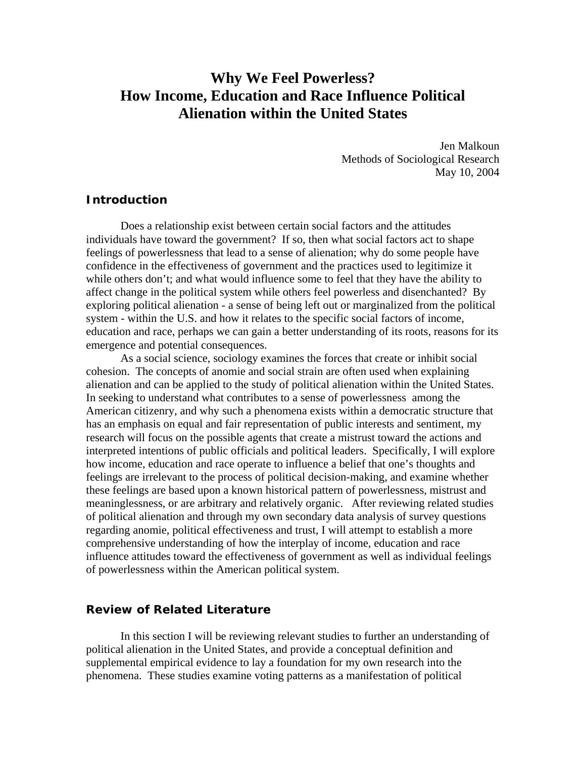# **Why We Feel Powerless? How Income, Education and Race Influence Political Alienation within the United States**

 Jen Malkoun Methods of Sociological Research May 10, 2004

## **Introduction**

Does a relationship exist between certain social factors and the attitudes individuals have toward the government? If so, then what social factors act to shape feelings of powerlessness that lead to a sense of alienation; why do some people have confidence in the effectiveness of government and the practices used to legitimize it while others don't; and what would influence some to feel that they have the ability to affect change in the political system while others feel powerless and disenchanted? By exploring political alienation - a sense of being left out or marginalized from the political system - within the U.S. and how it relates to the specific social factors of income, education and race, perhaps we can gain a better understanding of its roots, reasons for its emergence and potential consequences.

As a social science, sociology examines the forces that create or inhibit social cohesion. The concepts of anomie and social strain are often used when explaining alienation and can be applied to the study of political alienation within the United States. In seeking to understand what contributes to a sense of powerlessness among the American citizenry, and why such a phenomena exists within a democratic structure that has an emphasis on equal and fair representation of public interests and sentiment, my research will focus on the possible agents that create a mistrust toward the actions and interpreted intentions of public officials and political leaders. Specifically, I will explore how income, education and race operate to influence a belief that one's thoughts and feelings are irrelevant to the process of political decision-making, and examine whether these feelings are based upon a known historical pattern of powerlessness, mistrust and meaninglessness, or are arbitrary and relatively organic. After reviewing related studies of political alienation and through my own secondary data analysis of survey questions regarding anomie, political effectiveness and trust, I will attempt to establish a more comprehensive understanding of how the interplay of income, education and race influence attitudes toward the effectiveness of government as well as individual feelings of powerlessness within the American political system.

#### **Review of Related Literature**

In this section I will be reviewing relevant studies to further an understanding of political alienation in the United States, and provide a conceptual definition and supplemental empirical evidence to lay a foundation for my own research into the phenomena. These studies examine voting patterns as a manifestation of political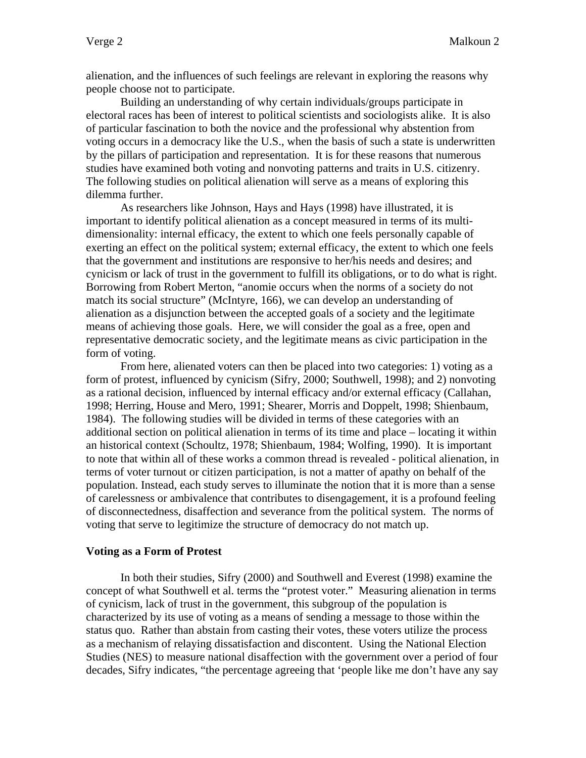alienation, and the influences of such feelings are relevant in exploring the reasons why people choose not to participate.

 Building an understanding of why certain individuals/groups participate in electoral races has been of interest to political scientists and sociologists alike. It is also of particular fascination to both the novice and the professional why abstention from voting occurs in a democracy like the U.S., when the basis of such a state is underwritten by the pillars of participation and representation. It is for these reasons that numerous studies have examined both voting and nonvoting patterns and traits in U.S. citizenry. The following studies on political alienation will serve as a means of exploring this dilemma further.

As researchers like Johnson, Hays and Hays (1998) have illustrated, it is important to identify political alienation as a concept measured in terms of its multidimensionality: internal efficacy, the extent to which one feels personally capable of exerting an effect on the political system; external efficacy, the extent to which one feels that the government and institutions are responsive to her/his needs and desires; and cynicism or lack of trust in the government to fulfill its obligations, or to do what is right. Borrowing from Robert Merton, "anomie occurs when the norms of a society do not match its social structure" (McIntyre, 166), we can develop an understanding of alienation as a disjunction between the accepted goals of a society and the legitimate means of achieving those goals. Here, we will consider the goal as a free, open and representative democratic society, and the legitimate means as civic participation in the form of voting.

From here, alienated voters can then be placed into two categories: 1) voting as a form of protest, influenced by cynicism (Sifry, 2000; Southwell, 1998); and 2) nonvoting as a rational decision, influenced by internal efficacy and/or external efficacy (Callahan, 1998; Herring, House and Mero, 1991; Shearer, Morris and Doppelt, 1998; Shienbaum, 1984). The following studies will be divided in terms of these categories with an additional section on political alienation in terms of its time and place – locating it within an historical context (Schoultz, 1978; Shienbaum, 1984; Wolfing, 1990). It is important to note that within all of these works a common thread is revealed - political alienation, in terms of voter turnout or citizen participation, is not a matter of apathy on behalf of the population. Instead, each study serves to illuminate the notion that it is more than a sense of carelessness or ambivalence that contributes to disengagement, it is a profound feeling of disconnectedness, disaffection and severance from the political system. The norms of voting that serve to legitimize the structure of democracy do not match up.

### **Voting as a Form of Protest**

 In both their studies, Sifry (2000) and Southwell and Everest (1998) examine the concept of what Southwell et al. terms the "protest voter." Measuring alienation in terms of cynicism, lack of trust in the government, this subgroup of the population is characterized by its use of voting as a means of sending a message to those within the status quo. Rather than abstain from casting their votes, these voters utilize the process as a mechanism of relaying dissatisfaction and discontent. Using the National Election Studies (NES) to measure national disaffection with the government over a period of four decades, Sifry indicates, "the percentage agreeing that 'people like me don't have any say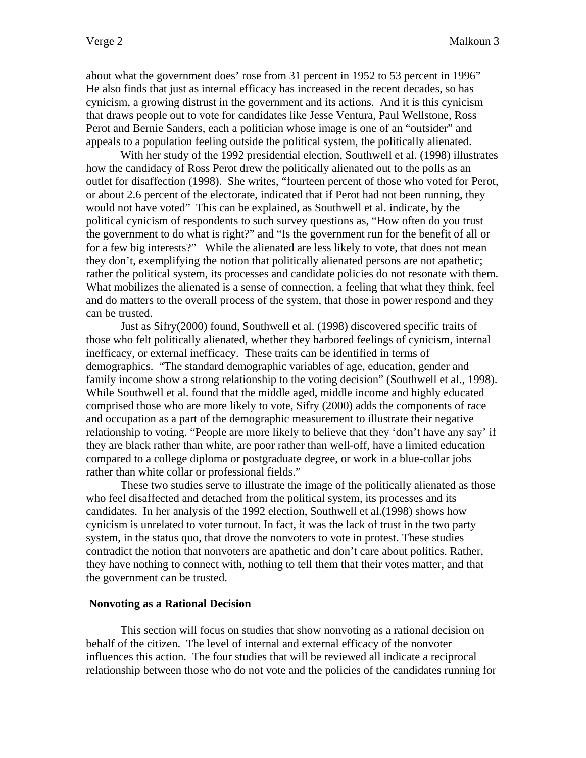about what the government does' rose from 31 percent in 1952 to 53 percent in 1996" He also finds that just as internal efficacy has increased in the recent decades, so has cynicism, a growing distrust in the government and its actions. And it is this cynicism that draws people out to vote for candidates like Jesse Ventura, Paul Wellstone, Ross Perot and Bernie Sanders, each a politician whose image is one of an "outsider" and appeals to a population feeling outside the political system, the politically alienated.

With her study of the 1992 presidential election, Southwell et al. (1998) illustrates how the candidacy of Ross Perot drew the politically alienated out to the polls as an outlet for disaffection (1998). She writes, "fourteen percent of those who voted for Perot, or about 2.6 percent of the electorate, indicated that if Perot had not been running, they would not have voted" This can be explained, as Southwell et al. indicate, by the political cynicism of respondents to such survey questions as, "How often do you trust the government to do what is right?" and "Is the government run for the benefit of all or for a few big interests?" While the alienated are less likely to vote, that does not mean they don't, exemplifying the notion that politically alienated persons are not apathetic; rather the political system, its processes and candidate policies do not resonate with them. What mobilizes the alienated is a sense of connection, a feeling that what they think, feel and do matters to the overall process of the system, that those in power respond and they can be trusted.

Just as Sifry(2000) found, Southwell et al. (1998) discovered specific traits of those who felt politically alienated, whether they harbored feelings of cynicism, internal inefficacy, or external inefficacy. These traits can be identified in terms of demographics. "The standard demographic variables of age, education, gender and family income show a strong relationship to the voting decision" (Southwell et al., 1998). While Southwell et al. found that the middle aged, middle income and highly educated comprised those who are more likely to vote, Sifry (2000) adds the components of race and occupation as a part of the demographic measurement to illustrate their negative relationship to voting. "People are more likely to believe that they 'don't have any say' if they are black rather than white, are poor rather than well-off, have a limited education compared to a college diploma or postgraduate degree, or work in a blue-collar jobs rather than white collar or professional fields."

These two studies serve to illustrate the image of the politically alienated as those who feel disaffected and detached from the political system, its processes and its candidates. In her analysis of the 1992 election, Southwell et al.(1998) shows how cynicism is unrelated to voter turnout. In fact, it was the lack of trust in the two party system, in the status quo, that drove the nonvoters to vote in protest. These studies contradict the notion that nonvoters are apathetic and don't care about politics. Rather, they have nothing to connect with, nothing to tell them that their votes matter, and that the government can be trusted.

#### **Nonvoting as a Rational Decision**

This section will focus on studies that show nonvoting as a rational decision on behalf of the citizen. The level of internal and external efficacy of the nonvoter influences this action. The four studies that will be reviewed all indicate a reciprocal relationship between those who do not vote and the policies of the candidates running for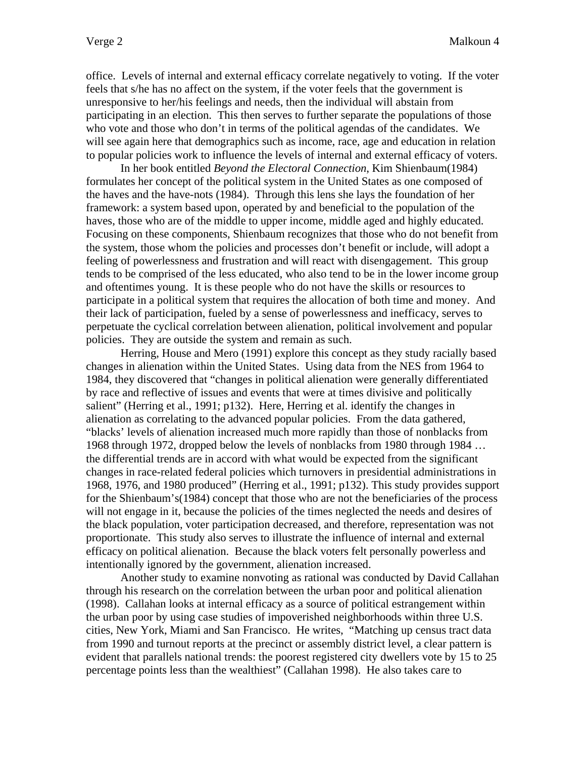office. Levels of internal and external efficacy correlate negatively to voting. If the voter feels that s/he has no affect on the system, if the voter feels that the government is unresponsive to her/his feelings and needs, then the individual will abstain from participating in an election. This then serves to further separate the populations of those who vote and those who don't in terms of the political agendas of the candidates. We will see again here that demographics such as income, race, age and education in relation to popular policies work to influence the levels of internal and external efficacy of voters.

 In her book entitled *Beyond the Electoral Connection*, Kim Shienbaum(1984) formulates her concept of the political system in the United States as one composed of the haves and the have-nots (1984). Through this lens she lays the foundation of her framework: a system based upon, operated by and beneficial to the population of the haves, those who are of the middle to upper income, middle aged and highly educated. Focusing on these components, Shienbaum recognizes that those who do not benefit from the system, those whom the policies and processes don't benefit or include, will adopt a feeling of powerlessness and frustration and will react with disengagement. This group tends to be comprised of the less educated, who also tend to be in the lower income group and oftentimes young. It is these people who do not have the skills or resources to participate in a political system that requires the allocation of both time and money. And their lack of participation, fueled by a sense of powerlessness and inefficacy, serves to perpetuate the cyclical correlation between alienation, political involvement and popular policies. They are outside the system and remain as such.

 Herring, House and Mero (1991) explore this concept as they study racially based changes in alienation within the United States. Using data from the NES from 1964 to 1984, they discovered that "changes in political alienation were generally differentiated by race and reflective of issues and events that were at times divisive and politically salient" (Herring et al., 1991; p132). Here, Herring et al. identify the changes in alienation as correlating to the advanced popular policies. From the data gathered, "blacks' levels of alienation increased much more rapidly than those of nonblacks from 1968 through 1972, dropped below the levels of nonblacks from 1980 through 1984 … the differential trends are in accord with what would be expected from the significant changes in race-related federal policies which turnovers in presidential administrations in 1968, 1976, and 1980 produced" (Herring et al., 1991; p132). This study provides support for the Shienbaum's(1984) concept that those who are not the beneficiaries of the process will not engage in it, because the policies of the times neglected the needs and desires of the black population, voter participation decreased, and therefore, representation was not proportionate. This study also serves to illustrate the influence of internal and external efficacy on political alienation. Because the black voters felt personally powerless and intentionally ignored by the government, alienation increased.

 Another study to examine nonvoting as rational was conducted by David Callahan through his research on the correlation between the urban poor and political alienation (1998). Callahan looks at internal efficacy as a source of political estrangement within the urban poor by using case studies of impoverished neighborhoods within three U.S. cities, New York, Miami and San Francisco. He writes, "Matching up census tract data from 1990 and turnout reports at the precinct or assembly district level, a clear pattern is evident that parallels national trends: the poorest registered city dwellers vote by 15 to 25 percentage points less than the wealthiest" (Callahan 1998). He also takes care to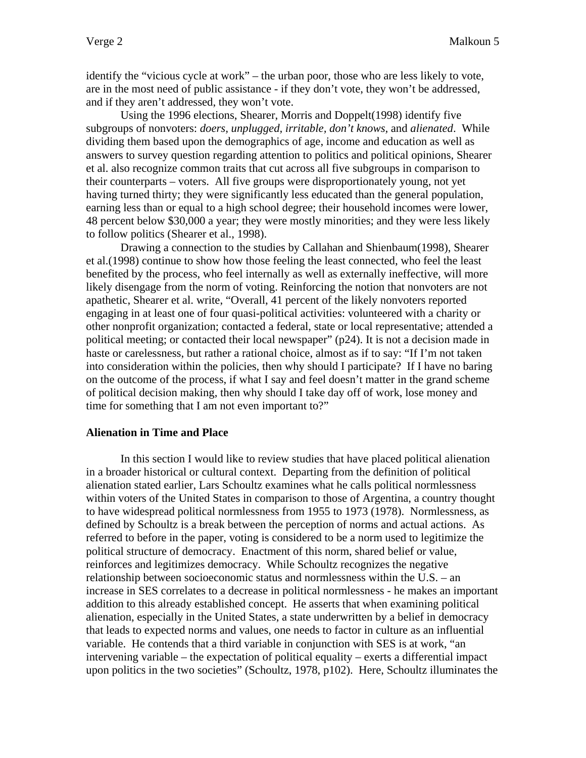identify the "vicious cycle at work" – the urban poor, those who are less likely to vote, are in the most need of public assistance - if they don't vote, they won't be addressed, and if they aren't addressed, they won't vote.

 Using the 1996 elections, Shearer, Morris and Doppelt(1998) identify five subgroups of nonvoters: *doers, unplugged, irritable, don't knows,* and *alienated*. While dividing them based upon the demographics of age, income and education as well as answers to survey question regarding attention to politics and political opinions, Shearer et al. also recognize common traits that cut across all five subgroups in comparison to their counterparts – voters. All five groups were disproportionately young, not yet having turned thirty; they were significantly less educated than the general population, earning less than or equal to a high school degree; their household incomes were lower, 48 percent below \$30,000 a year; they were mostly minorities; and they were less likely to follow politics (Shearer et al., 1998).

Drawing a connection to the studies by Callahan and Shienbaum(1998), Shearer et al.(1998) continue to show how those feeling the least connected, who feel the least benefited by the process, who feel internally as well as externally ineffective, will more likely disengage from the norm of voting. Reinforcing the notion that nonvoters are not apathetic, Shearer et al. write, "Overall, 41 percent of the likely nonvoters reported engaging in at least one of four quasi-political activities: volunteered with a charity or other nonprofit organization; contacted a federal, state or local representative; attended a political meeting; or contacted their local newspaper" (p24). It is not a decision made in haste or carelessness, but rather a rational choice, almost as if to say: "If I'm not taken into consideration within the policies, then why should I participate? If I have no baring on the outcome of the process, if what I say and feel doesn't matter in the grand scheme of political decision making, then why should I take day off of work, lose money and time for something that I am not even important to?"

#### **Alienation in Time and Place**

 In this section I would like to review studies that have placed political alienation in a broader historical or cultural context. Departing from the definition of political alienation stated earlier, Lars Schoultz examines what he calls political normlessness within voters of the United States in comparison to those of Argentina, a country thought to have widespread political normlessness from 1955 to 1973 (1978). Normlessness, as defined by Schoultz is a break between the perception of norms and actual actions. As referred to before in the paper, voting is considered to be a norm used to legitimize the political structure of democracy. Enactment of this norm, shared belief or value, reinforces and legitimizes democracy. While Schoultz recognizes the negative relationship between socioeconomic status and normlessness within the U.S. – an increase in SES correlates to a decrease in political normlessness - he makes an important addition to this already established concept. He asserts that when examining political alienation, especially in the United States, a state underwritten by a belief in democracy that leads to expected norms and values, one needs to factor in culture as an influential variable. He contends that a third variable in conjunction with SES is at work, "an intervening variable – the expectation of political equality – exerts a differential impact upon politics in the two societies" (Schoultz, 1978, p102). Here, Schoultz illuminates the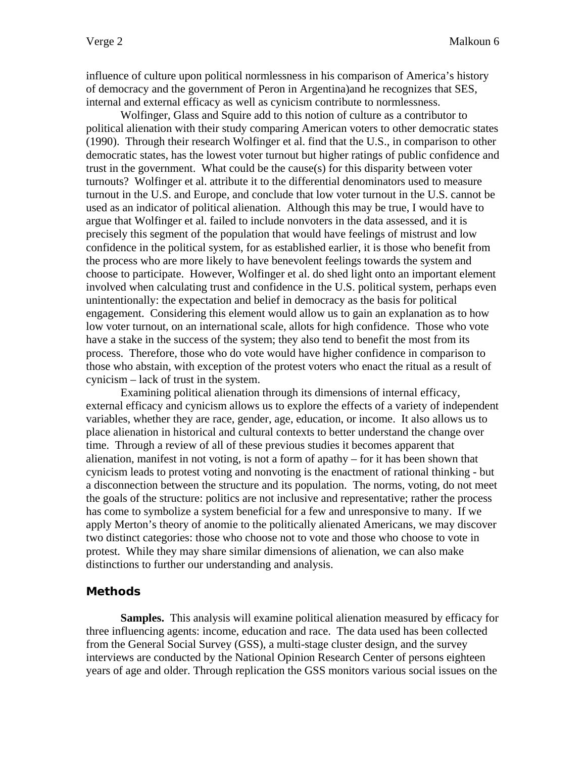influence of culture upon political normlessness in his comparison of America's history of democracy and the government of Peron in Argentina)and he recognizes that SES, internal and external efficacy as well as cynicism contribute to normlessness.

 Wolfinger, Glass and Squire add to this notion of culture as a contributor to political alienation with their study comparing American voters to other democratic states (1990). Through their research Wolfinger et al. find that the U.S., in comparison to other democratic states, has the lowest voter turnout but higher ratings of public confidence and trust in the government. What could be the cause(s) for this disparity between voter turnouts? Wolfinger et al. attribute it to the differential denominators used to measure turnout in the U.S. and Europe, and conclude that low voter turnout in the U.S. cannot be used as an indicator of political alienation. Although this may be true, I would have to argue that Wolfinger et al. failed to include nonvoters in the data assessed, and it is precisely this segment of the population that would have feelings of mistrust and low confidence in the political system, for as established earlier, it is those who benefit from the process who are more likely to have benevolent feelings towards the system and choose to participate. However, Wolfinger et al. do shed light onto an important element involved when calculating trust and confidence in the U.S. political system, perhaps even unintentionally: the expectation and belief in democracy as the basis for political engagement. Considering this element would allow us to gain an explanation as to how low voter turnout, on an international scale, allots for high confidence. Those who vote have a stake in the success of the system; they also tend to benefit the most from its process. Therefore, those who do vote would have higher confidence in comparison to those who abstain, with exception of the protest voters who enact the ritual as a result of cynicism – lack of trust in the system.

 Examining political alienation through its dimensions of internal efficacy, external efficacy and cynicism allows us to explore the effects of a variety of independent variables, whether they are race, gender, age, education, or income. It also allows us to place alienation in historical and cultural contexts to better understand the change over time. Through a review of all of these previous studies it becomes apparent that alienation, manifest in not voting, is not a form of apathy – for it has been shown that cynicism leads to protest voting and nonvoting is the enactment of rational thinking - but a disconnection between the structure and its population. The norms, voting, do not meet the goals of the structure: politics are not inclusive and representative; rather the process has come to symbolize a system beneficial for a few and unresponsive to many. If we apply Merton's theory of anomie to the politically alienated Americans, we may discover two distinct categories: those who choose not to vote and those who choose to vote in protest. While they may share similar dimensions of alienation, we can also make distinctions to further our understanding and analysis.

## **Methods**

**Samples.** This analysis will examine political alienation measured by efficacy for three influencing agents: income, education and race. The data used has been collected from the General Social Survey (GSS), a multi-stage cluster design, and the survey interviews are conducted by the National Opinion Research Center of persons eighteen years of age and older. Through replication the GSS monitors various social issues on the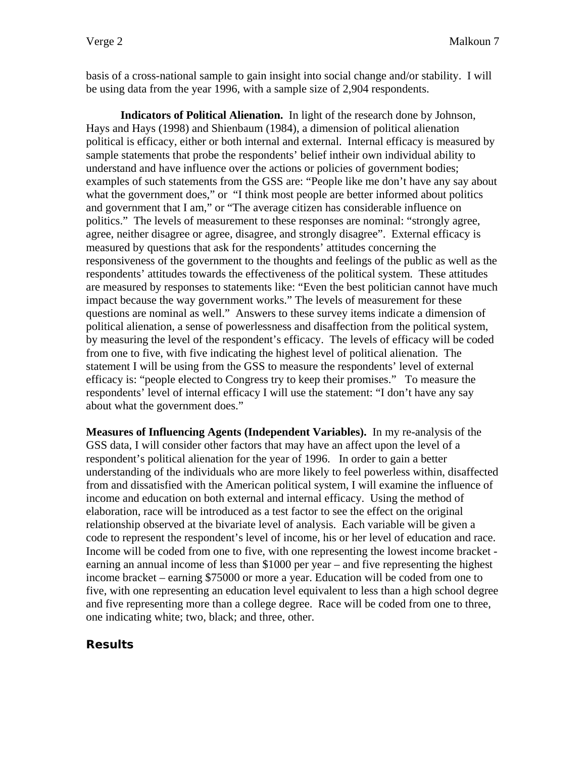basis of a cross-national sample to gain insight into social change and/or stability. I will be using data from the year 1996, with a sample size of 2,904 respondents.

**Indicators of Political Alienation.** In light of the research done by Johnson, Hays and Hays (1998) and Shienbaum (1984), a dimension of political alienation political is efficacy, either or both internal and external. Internal efficacy is measured by sample statements that probe the respondents' belief intheir own individual ability to understand and have influence over the actions or policies of government bodies; examples of such statements from the GSS are: "People like me don't have any say about what the government does," or "I think most people are better informed about politics and government that I am," or "The average citizen has considerable influence on politics." The levels of measurement to these responses are nominal: "strongly agree, agree, neither disagree or agree, disagree, and strongly disagree". External efficacy is measured by questions that ask for the respondents' attitudes concerning the responsiveness of the government to the thoughts and feelings of the public as well as the respondents' attitudes towards the effectiveness of the political system. These attitudes are measured by responses to statements like: "Even the best politician cannot have much impact because the way government works." The levels of measurement for these questions are nominal as well." Answers to these survey items indicate a dimension of political alienation, a sense of powerlessness and disaffection from the political system, by measuring the level of the respondent's efficacy. The levels of efficacy will be coded from one to five, with five indicating the highest level of political alienation. The statement I will be using from the GSS to measure the respondents' level of external efficacy is: "people elected to Congress try to keep their promises." To measure the respondents' level of internal efficacy I will use the statement: "I don't have any say about what the government does."

**Measures of Influencing Agents (Independent Variables).** In my re-analysis of the GSS data, I will consider other factors that may have an affect upon the level of a respondent's political alienation for the year of 1996. In order to gain a better understanding of the individuals who are more likely to feel powerless within, disaffected from and dissatisfied with the American political system, I will examine the influence of income and education on both external and internal efficacy. Using the method of elaboration, race will be introduced as a test factor to see the effect on the original relationship observed at the bivariate level of analysis. Each variable will be given a code to represent the respondent's level of income, his or her level of education and race. Income will be coded from one to five, with one representing the lowest income bracket earning an annual income of less than \$1000 per year – and five representing the highest income bracket – earning \$75000 or more a year. Education will be coded from one to five, with one representing an education level equivalent to less than a high school degree and five representing more than a college degree. Race will be coded from one to three, one indicating white; two, black; and three, other.

## **Results**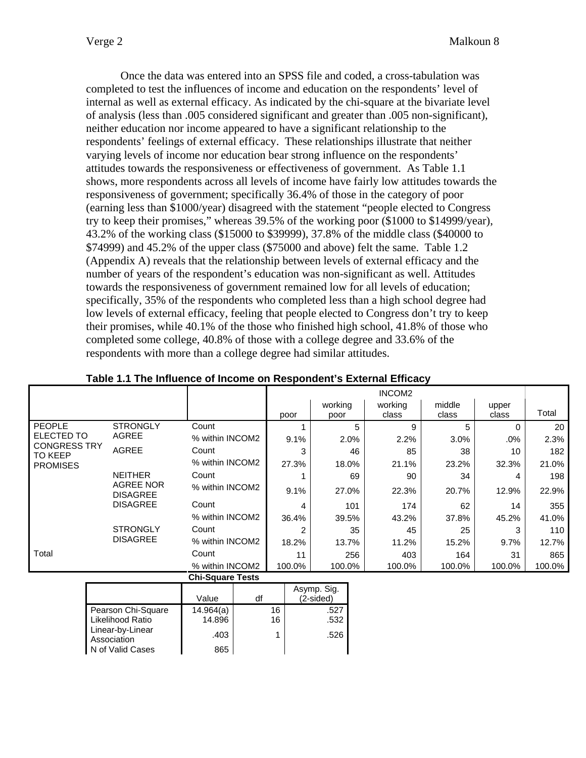Once the data was entered into an SPSS file and coded, a cross-tabulation was completed to test the influences of income and education on the respondents' level of internal as well as external efficacy. As indicated by the chi-square at the bivariate level of analysis (less than .005 considered significant and greater than .005 non-significant), neither education nor income appeared to have a significant relationship to the respondents' feelings of external efficacy. These relationships illustrate that neither varying levels of income nor education bear strong influence on the respondents' attitudes towards the responsiveness or effectiveness of government. As Table 1.1 shows, more respondents across all levels of income have fairly low attitudes towards the responsiveness of government; specifically 36.4% of those in the category of poor (earning less than \$1000/year) disagreed with the statement "people elected to Congress try to keep their promises," whereas 39.5% of the working poor (\$1000 to \$14999/year), 43.2% of the working class (\$15000 to \$39999), 37.8% of the middle class (\$40000 to \$74999) and 45.2% of the upper class (\$75000 and above) felt the same. Table 1.2 (Appendix A) reveals that the relationship between levels of external efficacy and the number of years of the respondent's education was non-significant as well. Attitudes towards the responsiveness of government remained low for all levels of education; specifically, 35% of the respondents who completed less than a high school degree had low levels of external efficacy, feeling that people elected to Congress don't try to keep their promises, while 40.1% of the those who finished high school, 41.8% of those who completed some college, 40.8% of those with a college degree and 33.6% of the respondents with more than a college degree had similar attitudes.

|                                                          |                                                                          |                         |    |        |                          |     | INCOM <sub>2</sub> |        |        |        |
|----------------------------------------------------------|--------------------------------------------------------------------------|-------------------------|----|--------|--------------------------|-----|--------------------|--------|--------|--------|
|                                                          |                                                                          |                         |    |        | working                  |     | working            | middle | upper  |        |
|                                                          |                                                                          |                         |    | poor   | poor                     |     | class              | class  | class  | Total  |
| <b>PEOPLE</b>                                            | <b>STRONGLY</b>                                                          | Count                   |    |        |                          | 5   | 9                  | 5      | 0      | 20     |
| ELECTED TO                                               | <b>AGREE</b>                                                             | % within INCOM2         |    | 9.1%   | 2.0%                     |     | 2.2%               | 3.0%   | $.0\%$ | 2.3%   |
| <b>CONGRESS TRY</b><br><b>TO KEEP</b><br><b>PROMISES</b> | <b>AGREE</b>                                                             | Count                   |    | 3      |                          | 46  | 85                 | 38     | 10     | 182    |
|                                                          |                                                                          | % within INCOM2         |    | 27.3%  | 18.0%                    |     | 21.1%              | 23.2%  | 32.3%  | 21.0%  |
|                                                          | <b>NEITHER</b><br><b>AGREE NOR</b><br><b>DISAGREE</b><br><b>DISAGREE</b> | Count                   |    |        |                          | 69  | 90                 | 34     | 4      | 198    |
|                                                          |                                                                          | % within INCOM2         |    | 9.1%   | 27.0%                    |     | 22.3%              | 20.7%  | 12.9%  | 22.9%  |
|                                                          |                                                                          | Count                   |    | 4      |                          | 101 | 174                | 62     | 14     | 355    |
|                                                          |                                                                          | % within INCOM2         |    | 36.4%  | 39.5%                    |     | 43.2%              | 37.8%  | 45.2%  | 41.0%  |
|                                                          | <b>STRONGLY</b>                                                          | Count                   |    | 2      |                          | 35  | 45                 | 25     | 3      | 110    |
|                                                          | <b>DISAGREE</b>                                                          | % within INCOM2         |    | 18.2%  | 13.7%                    |     | 11.2%              | 15.2%  | 9.7%   | 12.7%  |
| Total                                                    |                                                                          | Count                   |    | 11     |                          | 256 | 403                | 164    | 31     | 865    |
|                                                          |                                                                          | % within INCOM2         |    | 100.0% | 100.0%                   |     | 100.0%             | 100.0% | 100.0% | 100.0% |
|                                                          |                                                                          | <b>Chi-Square Tests</b> |    |        |                          |     |                    |        |        |        |
|                                                          |                                                                          | Value                   | df |        | Asymp. Sig.<br>(2-sided) |     |                    |        |        |        |

## **Table 1.1 The Influence of Income on Respondent's External Efficacy**

|                                 | Value     | df | Asymp. Sig.<br>$(2-sided)$ |
|---------------------------------|-----------|----|----------------------------|
| Pearson Chi-Square              | 14.964(a) | 16 | .527                       |
| Likelihood Ratio                | 14.896    | 16 | .532                       |
| Linear-by-Linear<br>Association | .403      |    | .526                       |
| N of Valid Cases                | 865       |    |                            |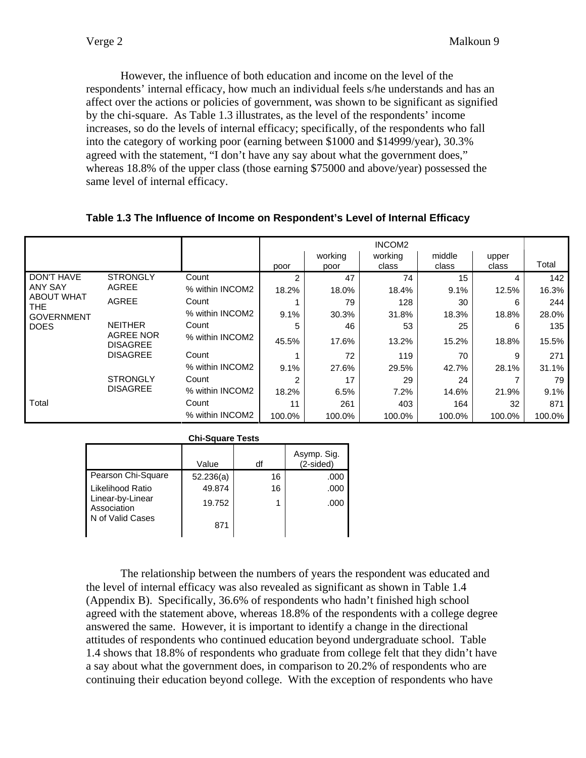However, the influence of both education and income on the level of the respondents' internal efficacy, how much an individual feels s/he understands and has an affect over the actions or policies of government, was shown to be significant as signified by the chi-square. As Table 1.3 illustrates, as the level of the respondents' income increases, so do the levels of internal efficacy; specifically, of the respondents who fall into the category of working poor (earning between \$1000 and \$14999/year), 30.3% agreed with the statement, "I don't have any say about what the government does," whereas 18.8% of the upper class (those earning \$75000 and above/year) possessed the same level of internal efficacy.

### **Table 1.3 The Influence of Income on Respondent's Level of Internal Efficacy**

|                                 | INCOM <sub>2</sub>                  |                 |        |                 |                  |                 |                |        |
|---------------------------------|-------------------------------------|-----------------|--------|-----------------|------------------|-----------------|----------------|--------|
|                                 |                                     |                 | poor   | working<br>poor | working<br>class | middle<br>class | upper<br>class | Total  |
| DON'T HAVE                      | <b>STRONGLY</b>                     | Count           | 2      | 47              | 74               | 15              | 4              | 142    |
| <b>ANY SAY</b>                  | AGREE                               | % within INCOM2 | 18.2%  | 18.0%           | 18.4%            | 9.1%            | 12.5%          | 16.3%  |
| <b>ABOUT WHAT</b><br><b>THE</b> | <b>AGREE</b>                        | Count           |        | 79              | 128              | 30              | 6              | 244    |
| <b>GOVERNMENT</b>               |                                     | % within INCOM2 | 9.1%   | 30.3%           | 31.8%            | 18.3%           | 18.8%          | 28.0%  |
| <b>DOES</b>                     | <b>NEITHER</b>                      | Count           | 5      | 46              | 53               | 25              | 6              | 135    |
|                                 | <b>AGREE NOR</b><br><b>DISAGREE</b> | % within INCOM2 | 45.5%  | 17.6%           | 13.2%            | 15.2%           | 18.8%          | 15.5%  |
|                                 | <b>DISAGREE</b>                     | Count           |        | 72              | 119              | 70              | 9              | 271    |
|                                 |                                     | % within INCOM2 | 9.1%   | 27.6%           | 29.5%            | 42.7%           | 28.1%          | 31.1%  |
|                                 | <b>STRONGLY</b>                     | Count           | 2      | 17              | 29               | 24              |                | 79     |
|                                 | <b>DISAGREE</b>                     | % within INCOM2 | 18.2%  | 6.5%            | 7.2%             | 14.6%           | 21.9%          | 9.1%   |
| Total                           |                                     | Count           | 11     | 261             | 403              | 164             | 32             | 871    |
|                                 |                                     | % within INCOM2 | 100.0% | 100.0%          | 100.0%           | 100.0%          | 100.0%         | 100.0% |

| Uni-Square rests                |           |    |                          |  |  |  |  |  |
|---------------------------------|-----------|----|--------------------------|--|--|--|--|--|
|                                 | Value     | df | Asymp. Sig.<br>(2-sided) |  |  |  |  |  |
| Pearson Chi-Square              | 52.236(a) | 16 | .000                     |  |  |  |  |  |
| Likelihood Ratio                | 49.874    | 16 | .000                     |  |  |  |  |  |
| Linear-by-Linear<br>Association | 19.752    |    | .000                     |  |  |  |  |  |
| N of Valid Cases                | 871       |    |                          |  |  |  |  |  |

## **Chi-Square Tests**

 The relationship between the numbers of years the respondent was educated and the level of internal efficacy was also revealed as significant as shown in Table 1.4 (Appendix B). Specifically, 36.6% of respondents who hadn't finished high school agreed with the statement above, whereas 18.8% of the respondents with a college degree answered the same. However, it is important to identify a change in the directional attitudes of respondents who continued education beyond undergraduate school. Table 1.4 shows that 18.8% of respondents who graduate from college felt that they didn't have a say about what the government does, in comparison to 20.2% of respondents who are continuing their education beyond college. With the exception of respondents who have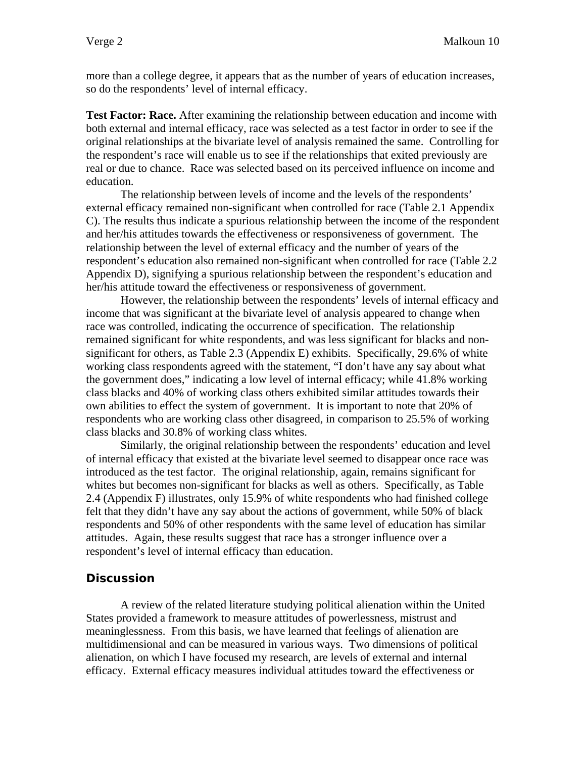more than a college degree, it appears that as the number of years of education increases, so do the respondents' level of internal efficacy.

**Test Factor: Race.** After examining the relationship between education and income with both external and internal efficacy, race was selected as a test factor in order to see if the original relationships at the bivariate level of analysis remained the same. Controlling for the respondent's race will enable us to see if the relationships that exited previously are real or due to chance. Race was selected based on its perceived influence on income and education.

 The relationship between levels of income and the levels of the respondents' external efficacy remained non-significant when controlled for race (Table 2.1 Appendix C). The results thus indicate a spurious relationship between the income of the respondent and her/his attitudes towards the effectiveness or responsiveness of government. The relationship between the level of external efficacy and the number of years of the respondent's education also remained non-significant when controlled for race (Table 2.2 Appendix D), signifying a spurious relationship between the respondent's education and her/his attitude toward the effectiveness or responsiveness of government.

 However, the relationship between the respondents' levels of internal efficacy and income that was significant at the bivariate level of analysis appeared to change when race was controlled, indicating the occurrence of specification. The relationship remained significant for white respondents, and was less significant for blacks and nonsignificant for others, as Table 2.3 (Appendix E) exhibits. Specifically, 29.6% of white working class respondents agreed with the statement, "I don't have any say about what the government does," indicating a low level of internal efficacy; while 41.8% working class blacks and 40% of working class others exhibited similar attitudes towards their own abilities to effect the system of government. It is important to note that 20% of respondents who are working class other disagreed, in comparison to 25.5% of working class blacks and 30.8% of working class whites.

 Similarly, the original relationship between the respondents' education and level of internal efficacy that existed at the bivariate level seemed to disappear once race was introduced as the test factor. The original relationship, again, remains significant for whites but becomes non-significant for blacks as well as others. Specifically, as Table 2.4 (Appendix F) illustrates, only 15.9% of white respondents who had finished college felt that they didn't have any say about the actions of government, while 50% of black respondents and 50% of other respondents with the same level of education has similar attitudes. Again, these results suggest that race has a stronger influence over a respondent's level of internal efficacy than education.

### **Discussion**

A review of the related literature studying political alienation within the United States provided a framework to measure attitudes of powerlessness, mistrust and meaninglessness. From this basis, we have learned that feelings of alienation are multidimensional and can be measured in various ways. Two dimensions of political alienation, on which I have focused my research, are levels of external and internal efficacy. External efficacy measures individual attitudes toward the effectiveness or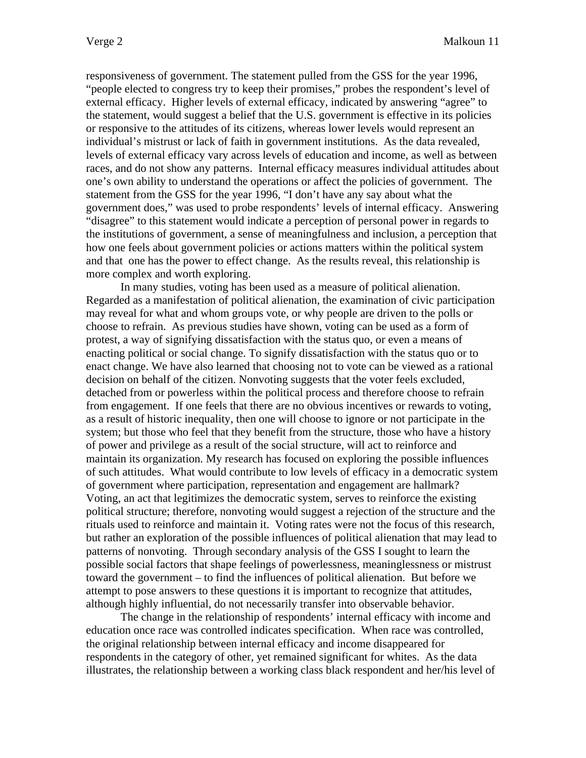responsiveness of government. The statement pulled from the GSS for the year 1996, "people elected to congress try to keep their promises," probes the respondent's level of external efficacy. Higher levels of external efficacy, indicated by answering "agree" to the statement, would suggest a belief that the U.S. government is effective in its policies or responsive to the attitudes of its citizens, whereas lower levels would represent an individual's mistrust or lack of faith in government institutions. As the data revealed, levels of external efficacy vary across levels of education and income, as well as between races, and do not show any patterns. Internal efficacy measures individual attitudes about one's own ability to understand the operations or affect the policies of government. The statement from the GSS for the year 1996, "I don't have any say about what the government does," was used to probe respondents' levels of internal efficacy. Answering "disagree" to this statement would indicate a perception of personal power in regards to the institutions of government, a sense of meaningfulness and inclusion, a perception that how one feels about government policies or actions matters within the political system and that one has the power to effect change. As the results reveal, this relationship is more complex and worth exploring.

In many studies, voting has been used as a measure of political alienation. Regarded as a manifestation of political alienation, the examination of civic participation may reveal for what and whom groups vote, or why people are driven to the polls or choose to refrain. As previous studies have shown, voting can be used as a form of protest, a way of signifying dissatisfaction with the status quo, or even a means of enacting political or social change. To signify dissatisfaction with the status quo or to enact change. We have also learned that choosing not to vote can be viewed as a rational decision on behalf of the citizen. Nonvoting suggests that the voter feels excluded, detached from or powerless within the political process and therefore choose to refrain from engagement. If one feels that there are no obvious incentives or rewards to voting, as a result of historic inequality, then one will choose to ignore or not participate in the system; but those who feel that they benefit from the structure, those who have a history of power and privilege as a result of the social structure, will act to reinforce and maintain its organization. My research has focused on exploring the possible influences of such attitudes. What would contribute to low levels of efficacy in a democratic system of government where participation, representation and engagement are hallmark? Voting, an act that legitimizes the democratic system, serves to reinforce the existing political structure; therefore, nonvoting would suggest a rejection of the structure and the rituals used to reinforce and maintain it. Voting rates were not the focus of this research, but rather an exploration of the possible influences of political alienation that may lead to patterns of nonvoting. Through secondary analysis of the GSS I sought to learn the possible social factors that shape feelings of powerlessness, meaninglessness or mistrust toward the government – to find the influences of political alienation. But before we attempt to pose answers to these questions it is important to recognize that attitudes, although highly influential, do not necessarily transfer into observable behavior.

 The change in the relationship of respondents' internal efficacy with income and education once race was controlled indicates specification. When race was controlled, the original relationship between internal efficacy and income disappeared for respondents in the category of other, yet remained significant for whites. As the data illustrates, the relationship between a working class black respondent and her/his level of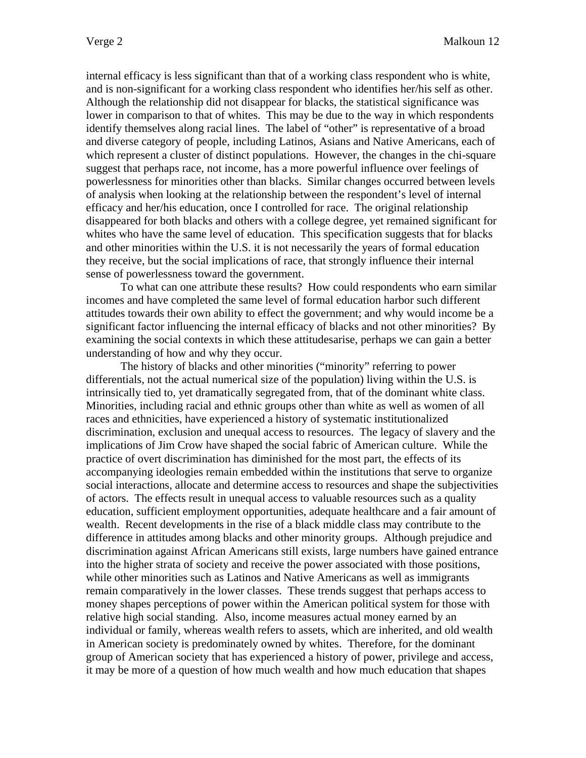internal efficacy is less significant than that of a working class respondent who is white, and is non-significant for a working class respondent who identifies her/his self as other. Although the relationship did not disappear for blacks, the statistical significance was lower in comparison to that of whites. This may be due to the way in which respondents identify themselves along racial lines. The label of "other" is representative of a broad and diverse category of people, including Latinos, Asians and Native Americans, each of which represent a cluster of distinct populations. However, the changes in the chi-square suggest that perhaps race, not income, has a more powerful influence over feelings of powerlessness for minorities other than blacks. Similar changes occurred between levels of analysis when looking at the relationship between the respondent's level of internal efficacy and her/his education, once I controlled for race. The original relationship disappeared for both blacks and others with a college degree, yet remained significant for whites who have the same level of education. This specification suggests that for blacks and other minorities within the U.S. it is not necessarily the years of formal education they receive, but the social implications of race, that strongly influence their internal sense of powerlessness toward the government.

To what can one attribute these results? How could respondents who earn similar incomes and have completed the same level of formal education harbor such different attitudes towards their own ability to effect the government; and why would income be a significant factor influencing the internal efficacy of blacks and not other minorities? By examining the social contexts in which these attitudesarise, perhaps we can gain a better understanding of how and why they occur.

The history of blacks and other minorities ("minority" referring to power differentials, not the actual numerical size of the population) living within the U.S. is intrinsically tied to, yet dramatically segregated from, that of the dominant white class. Minorities, including racial and ethnic groups other than white as well as women of all races and ethnicities, have experienced a history of systematic institutionalized discrimination, exclusion and unequal access to resources. The legacy of slavery and the implications of Jim Crow have shaped the social fabric of American culture. While the practice of overt discrimination has diminished for the most part, the effects of its accompanying ideologies remain embedded within the institutions that serve to organize social interactions, allocate and determine access to resources and shape the subjectivities of actors. The effects result in unequal access to valuable resources such as a quality education, sufficient employment opportunities, adequate healthcare and a fair amount of wealth. Recent developments in the rise of a black middle class may contribute to the difference in attitudes among blacks and other minority groups. Although prejudice and discrimination against African Americans still exists, large numbers have gained entrance into the higher strata of society and receive the power associated with those positions, while other minorities such as Latinos and Native Americans as well as immigrants remain comparatively in the lower classes. These trends suggest that perhaps access to money shapes perceptions of power within the American political system for those with relative high social standing. Also, income measures actual money earned by an individual or family, whereas wealth refers to assets, which are inherited, and old wealth in American society is predominately owned by whites. Therefore, for the dominant group of American society that has experienced a history of power, privilege and access, it may be more of a question of how much wealth and how much education that shapes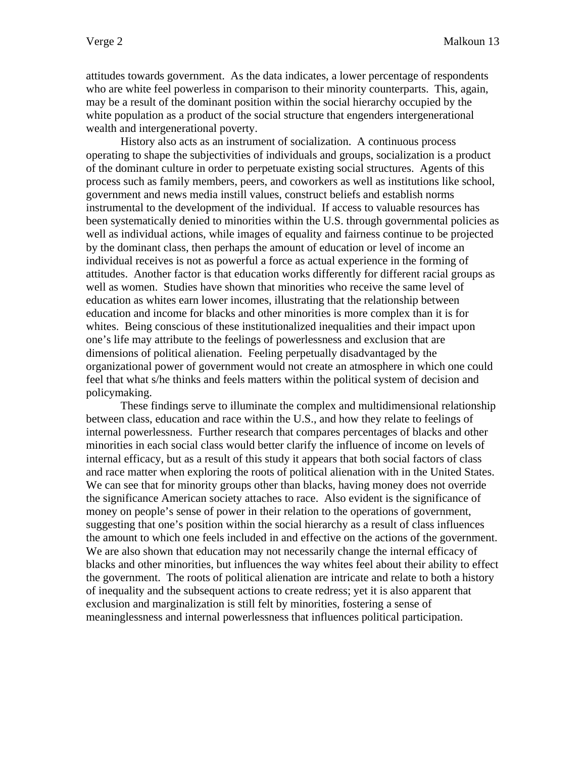attitudes towards government. As the data indicates, a lower percentage of respondents who are white feel powerless in comparison to their minority counterparts. This, again, may be a result of the dominant position within the social hierarchy occupied by the white population as a product of the social structure that engenders intergenerational wealth and intergenerational poverty.

History also acts as an instrument of socialization. A continuous process operating to shape the subjectivities of individuals and groups, socialization is a product of the dominant culture in order to perpetuate existing social structures. Agents of this process such as family members, peers, and coworkers as well as institutions like school, government and news media instill values, construct beliefs and establish norms instrumental to the development of the individual. If access to valuable resources has been systematically denied to minorities within the U.S. through governmental policies as well as individual actions, while images of equality and fairness continue to be projected by the dominant class, then perhaps the amount of education or level of income an individual receives is not as powerful a force as actual experience in the forming of attitudes. Another factor is that education works differently for different racial groups as well as women. Studies have shown that minorities who receive the same level of education as whites earn lower incomes, illustrating that the relationship between education and income for blacks and other minorities is more complex than it is for whites. Being conscious of these institutionalized inequalities and their impact upon one's life may attribute to the feelings of powerlessness and exclusion that are dimensions of political alienation. Feeling perpetually disadvantaged by the organizational power of government would not create an atmosphere in which one could feel that what s/he thinks and feels matters within the political system of decision and policymaking.

These findings serve to illuminate the complex and multidimensional relationship between class, education and race within the U.S., and how they relate to feelings of internal powerlessness. Further research that compares percentages of blacks and other minorities in each social class would better clarify the influence of income on levels of internal efficacy, but as a result of this study it appears that both social factors of class and race matter when exploring the roots of political alienation with in the United States. We can see that for minority groups other than blacks, having money does not override the significance American society attaches to race. Also evident is the significance of money on people's sense of power in their relation to the operations of government, suggesting that one's position within the social hierarchy as a result of class influences the amount to which one feels included in and effective on the actions of the government. We are also shown that education may not necessarily change the internal efficacy of blacks and other minorities, but influences the way whites feel about their ability to effect the government. The roots of political alienation are intricate and relate to both a history of inequality and the subsequent actions to create redress; yet it is also apparent that exclusion and marginalization is still felt by minorities, fostering a sense of meaninglessness and internal powerlessness that influences political participation.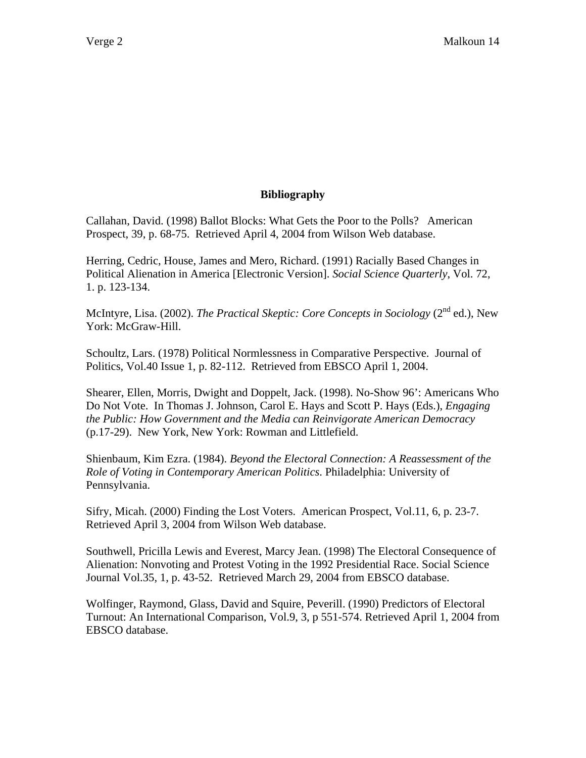## **Bibliography**

Callahan, David. (1998) Ballot Blocks: What Gets the Poor to the Polls? American Prospect, 39, p. 68-75. Retrieved April 4, 2004 from Wilson Web database.

Herring, Cedric, House, James and Mero, Richard. (1991) Racially Based Changes in Political Alienation in America [Electronic Version]. *Social Science Quarterly*, Vol. 72, 1. p. 123-134.

McIntyre, Lisa. (2002). *The Practical Skeptic: Core Concepts in Sociology* (2<sup>nd</sup> ed.), New York: McGraw-Hill.

Schoultz, Lars. (1978) Political Normlessness in Comparative Perspective. Journal of Politics, Vol.40 Issue 1, p. 82-112. Retrieved from EBSCO April 1, 2004.

Shearer, Ellen, Morris, Dwight and Doppelt, Jack. (1998). No-Show 96': Americans Who Do Not Vote. In Thomas J. Johnson, Carol E. Hays and Scott P. Hays (Eds.), *Engaging the Public: How Government and the Media can Reinvigorate American Democracy*  (p.17-29). New York, New York: Rowman and Littlefield.

Shienbaum, Kim Ezra. (1984). *Beyond the Electoral Connection: A Reassessment of the Role of Voting in Contemporary American Politics*. Philadelphia: University of Pennsylvania.

Sifry, Micah. (2000) Finding the Lost Voters. American Prospect, Vol.11, 6, p. 23-7. Retrieved April 3, 2004 from Wilson Web database.

Southwell, Pricilla Lewis and Everest, Marcy Jean. (1998) The Electoral Consequence of Alienation: Nonvoting and Protest Voting in the 1992 Presidential Race. Social Science Journal Vol.35, 1, p. 43-52. Retrieved March 29, 2004 from EBSCO database.

Wolfinger, Raymond, Glass, David and Squire, Peverill. (1990) Predictors of Electoral Turnout: An International Comparison, Vol.9, 3, p 551-574. Retrieved April 1, 2004 from EBSCO database.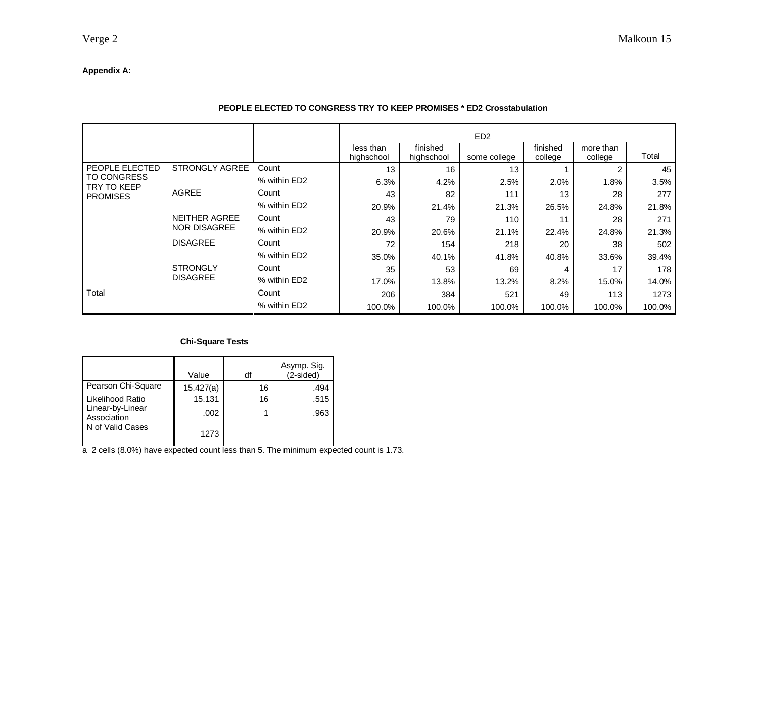## **Appendix A:**

|                                                      |                       |              |                         |                        | ED <sub>2</sub> |                     |                      |        |
|------------------------------------------------------|-----------------------|--------------|-------------------------|------------------------|-----------------|---------------------|----------------------|--------|
|                                                      |                       |              | less than<br>highschool | finished<br>highschool | some college    | finished<br>college | more than<br>college | Total  |
| PEOPLE ELECTED                                       | <b>STRONGLY AGREE</b> | Count        | 13                      | 16                     | 13              |                     | 2                    | 45     |
| <b>TO CONGRESS</b><br>TRY TO KEEP<br><b>PROMISES</b> |                       | % within ED2 | 6.3%                    | 4.2%                   | 2.5%            | 2.0%                | 1.8%                 | 3.5%   |
|                                                      | <b>AGREE</b>          | Count        | 43                      | 82                     | 111             | 13                  | 28                   | 277    |
|                                                      |                       | % within ED2 | 20.9%                   | 21.4%                  | 21.3%           | 26.5%               | 24.8%                | 21.8%  |
|                                                      | NEITHER AGREE         | Count        | 43                      | 79                     | 110             | 11                  | 28                   | 271    |
|                                                      | NOR DISAGREE          | % within ED2 | 20.9%                   | 20.6%                  | 21.1%           | 22.4%               | 24.8%                | 21.3%  |
|                                                      | <b>DISAGREE</b>       | Count        | 72                      | 154                    | 218             | 20                  | 38                   | 502    |
|                                                      |                       | % within ED2 | 35.0%                   | 40.1%                  | 41.8%           | 40.8%               | 33.6%                | 39.4%  |
|                                                      | <b>STRONGLY</b>       | Count        | 35                      | 53                     | 69              | 4                   | 17                   | 178    |
|                                                      | <b>DISAGREE</b>       | % within ED2 | 17.0%                   | 13.8%                  | 13.2%           | 8.2%                | 15.0%                | 14.0%  |
| Total                                                |                       | Count        | 206                     | 384                    | 521             | 49                  | 113                  | 1273   |
|                                                      |                       | % within ED2 | 100.0%                  | 100.0%                 | 100.0%          | 100.0%              | 100.0%               | 100.0% |

#### **PEOPLE ELECTED TO CONGRESS TRY TO KEEP PROMISES \* ED2 Crosstabulation**

#### **Chi-Square Tests**

|                                 | Value     | df | Asymp. Sig.<br>(2-sided) |
|---------------------------------|-----------|----|--------------------------|
| Pearson Chi-Square              | 15.427(a) | 16 | .494                     |
| Likelihood Ratio                | 15.131    | 16 | .515                     |
| Linear-by-Linear<br>Association | .002      |    | .963                     |
| N of Valid Cases                | 1273      |    |                          |

a 2 cells (8.0%) have expected count less than 5. The minimum expected count is 1.73.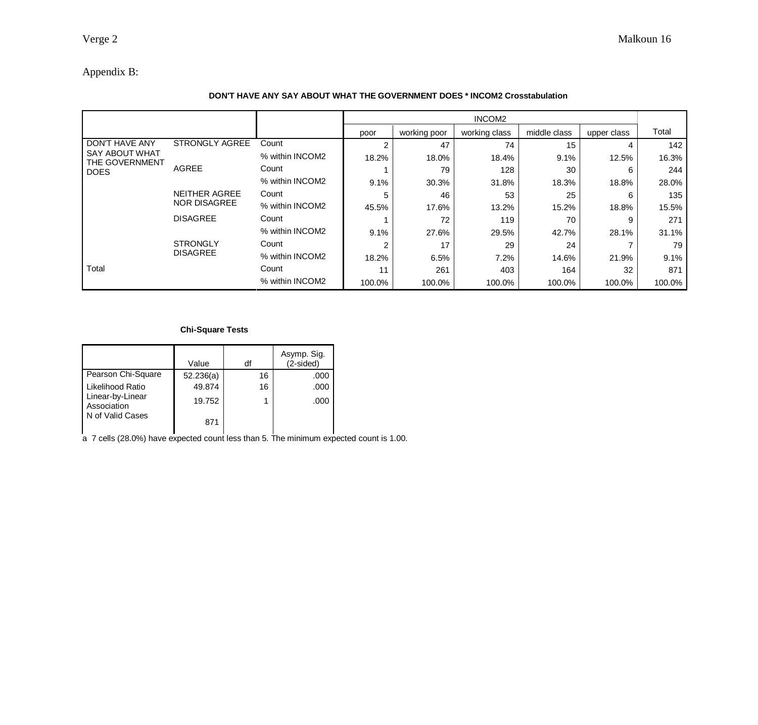## Appendix B:

#### **DON'T HAVE ANY SAY ABOUT WHAT THE GOVERNMENT DOES \* INCOM2 Crosstabulation**

|                                                                                 |                                             |                 |        |              | INCOM <sub>2</sub> |              |             |        |
|---------------------------------------------------------------------------------|---------------------------------------------|-----------------|--------|--------------|--------------------|--------------|-------------|--------|
|                                                                                 |                                             |                 | poor   | working poor | working class      | middle class | upper class | Total  |
| <b>DON'T HAVE ANY</b><br><b>SAY ABOUT WHAT</b><br>THE GOVERNMENT<br><b>DOES</b> | <b>STRONGLY AGREE</b>                       | Count           | 2      | 47           | 74                 | 15           | 4           | 142    |
|                                                                                 |                                             | % within INCOM2 | 18.2%  | 18.0%        | 18.4%              | 9.1%         | 12.5%       | 16.3%  |
|                                                                                 | <b>AGREE</b>                                | Count           |        | 79           | 128                | 30           | 6           | 244    |
|                                                                                 |                                             | % within INCOM2 | 9.1%   | 30.3%        | 31.8%              | 18.3%        | 18.8%       | 28.0%  |
|                                                                                 | <b>NEITHER AGREE</b><br><b>NOR DISAGREE</b> | Count           | 5      | 46           | 53                 | 25           | 6           | 135    |
|                                                                                 |                                             | % within INCOM2 | 45.5%  | 17.6%        | 13.2%              | 15.2%        | 18.8%       | 15.5%  |
|                                                                                 | <b>DISAGREE</b>                             | Count           |        | 72           | 119                | 70           | 9           | 271    |
|                                                                                 |                                             | % within INCOM2 | 9.1%   | 27.6%        | 29.5%              | 42.7%        | 28.1%       | 31.1%  |
|                                                                                 | <b>STRONGLY</b>                             | Count           | 2      | 17           | 29                 | 24           |             | 79     |
|                                                                                 | <b>DISAGREE</b>                             | % within INCOM2 | 18.2%  | 6.5%         | 7.2%               | 14.6%        | 21.9%       | 9.1%   |
| Total                                                                           |                                             | Count           | 11     | 261          | 403                | 164          | 32          | 871    |
|                                                                                 |                                             | % within INCOM2 | 100.0% | 100.0%       | 100.0%             | 100.0%       | 100.0%      | 100.0% |

#### **Chi-Square Tests**

|                                 | Value     | df | Asymp. Sig.<br>(2-sided) |
|---------------------------------|-----------|----|--------------------------|
| Pearson Chi-Square              | 52.236(a) | 16 | .000                     |
| Likelihood Ratio                | 49.874    | 16 | .000                     |
| Linear-by-Linear<br>Association | 19.752    |    | .000                     |
| N of Valid Cases                | 871       |    |                          |

a 7 cells (28.0%) have expected count less than 5. The minimum expected count is 1.00.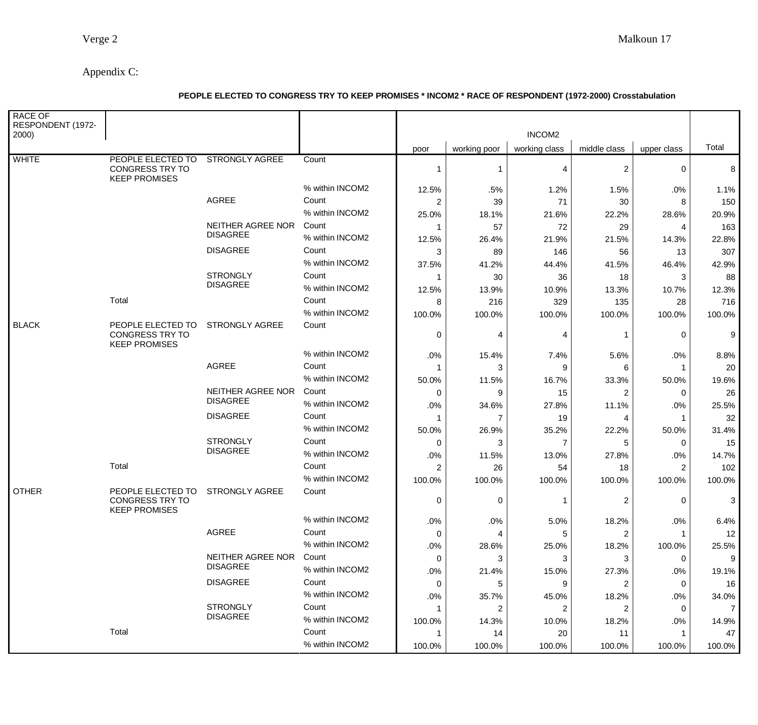# Appendix C:

## **PEOPLE ELECTED TO CONGRESS TRY TO KEEP PROMISES \* INCOM2 \* RACE OF RESPONDENT (1972-2000) Crosstabulation**

| <b>RACE OF</b><br>RESPONDENT (1972-<br>2000) |                                                                             |                                      |                 |                |                | INCOM <sub>2</sub> |                |             |                |
|----------------------------------------------|-----------------------------------------------------------------------------|--------------------------------------|-----------------|----------------|----------------|--------------------|----------------|-------------|----------------|
|                                              |                                                                             |                                      |                 | poor           | working poor   | working class      | middle class   | upper class | Total          |
| <b>WHITE</b>                                 | PEOPLE ELECTED TO STRONGLY AGREE<br>CONGRESS TRY TO<br><b>KEEP PROMISES</b> |                                      | Count           | 1              | 1              | 4                  | $\overline{c}$ | 0           | 8              |
|                                              |                                                                             |                                      | % within INCOM2 | 12.5%          | .5%            | 1.2%               | 1.5%           | .0%         | 1.1%           |
|                                              |                                                                             | <b>AGREE</b>                         | Count           | $\overline{2}$ | 39             | 71                 | 30             | 8           | 150            |
|                                              |                                                                             |                                      | % within INCOM2 | 25.0%          | 18.1%          | 21.6%              | 22.2%          | 28.6%       | 20.9%          |
|                                              |                                                                             | NEITHER AGREE NOR                    | Count           | 1              | 57             | 72                 | 29             | 4           | 163            |
|                                              |                                                                             | <b>DISAGREE</b>                      | % within INCOM2 | 12.5%          | 26.4%          | 21.9%              | 21.5%          | 14.3%       | 22.8%          |
|                                              |                                                                             | <b>DISAGREE</b>                      | Count           | 3              | 89             | 146                | 56             | 13          | 307            |
|                                              |                                                                             |                                      | % within INCOM2 | 37.5%          | 41.2%          | 44.4%              | 41.5%          | 46.4%       | 42.9%          |
|                                              |                                                                             | <b>STRONGLY</b>                      | Count           | 1              | 30             | 36                 | 18             | 3           | 88             |
|                                              |                                                                             | <b>DISAGREE</b>                      | % within INCOM2 | 12.5%          | 13.9%          | 10.9%              | 13.3%          | 10.7%       | 12.3%          |
|                                              | Total                                                                       |                                      | Count           | 8              | 216            | 329                | 135            | -28         | 716            |
|                                              |                                                                             |                                      | % within INCOM2 | 100.0%         | 100.0%         | 100.0%             | 100.0%         | 100.0%      | 100.0%         |
| <b>BLACK</b>                                 | PEOPLE ELECTED TO<br><b>CONGRESS TRY TO</b><br><b>KEEP PROMISES</b>         | <b>STRONGLY AGREE</b>                | Count           | 0              | 4              | 4                  | 1              | 0           | 9              |
|                                              |                                                                             |                                      | % within INCOM2 | .0%            | 15.4%          | 7.4%               | 5.6%           | .0%         | 8.8%           |
|                                              |                                                                             | <b>AGREE</b>                         | Count           | 1              | 3              | 9                  | 6              | $\mathbf 1$ | 20             |
|                                              |                                                                             |                                      | % within INCOM2 | 50.0%          | 11.5%          | 16.7%              | 33.3%          | 50.0%       | 19.6%          |
|                                              |                                                                             | NEITHER AGREE NOR                    | Count           | 0              | 9              | 15                 | 2              | 0           | 26             |
|                                              |                                                                             | <b>DISAGREE</b>                      | % within INCOM2 | .0%            | 34.6%          | 27.8%              | 11.1%          | .0%         | 25.5%          |
|                                              |                                                                             | <b>DISAGREE</b>                      | Count           | 1              | $\overline{7}$ | 19                 | 4              | -1          | 32             |
|                                              |                                                                             |                                      | % within INCOM2 | 50.0%          | 26.9%          | 35.2%              | 22.2%          | 50.0%       | 31.4%          |
|                                              |                                                                             | <b>STRONGLY</b>                      | Count           | 0              | 3              | 7                  | 5              | 0           | 15             |
|                                              |                                                                             | <b>DISAGREE</b>                      | % within INCOM2 | .0%            | 11.5%          | 13.0%              | 27.8%          | .0%         | 14.7%          |
|                                              | Total                                                                       |                                      | Count           | $\overline{c}$ | 26             | 54                 | 18             | 2           | 102            |
|                                              |                                                                             |                                      | % within INCOM2 | 100.0%         | 100.0%         | 100.0%             | 100.0%         | 100.0%      | 100.0%         |
| <b>OTHER</b>                                 | PEOPLE ELECTED TO STRONGLY AGREE                                            |                                      | Count           |                |                |                    |                |             |                |
|                                              | <b>CONGRESS TRY TO</b><br><b>KEEP PROMISES</b>                              |                                      |                 | 0              | 0              |                    | 2              | 0           | 3              |
|                                              |                                                                             |                                      | % within INCOM2 | $.0\%$         | $.0\%$         | 5.0%               | 18.2%          | .0%         | 6.4%           |
|                                              |                                                                             | AGREE                                | Count           | 0              | 4              | 5                  | 2              | $\mathbf 1$ | 12             |
|                                              |                                                                             |                                      | % within INCOM2 | .0%            | 28.6%          | 25.0%              | 18.2%          | 100.0%      | 25.5%          |
|                                              |                                                                             | NEITHER AGREE NOR<br><b>DISAGREE</b> | Count           | 0              | 3              | 3                  | 3              | 0           | 9              |
|                                              |                                                                             |                                      | % within INCOM2 | .0%            | 21.4%          | 15.0%              | 27.3%          | .0%         | 19.1%          |
|                                              |                                                                             | <b>DISAGREE</b>                      | Count           | 0              | 5              | 9                  | 2              | 0           | 16             |
|                                              |                                                                             |                                      | % within INCOM2 | $.0\%$         | 35.7%          | 45.0%              | 18.2%          | .0%         | 34.0%          |
|                                              |                                                                             | <b>STRONGLY</b><br><b>DISAGREE</b>   | Count           | 1              | 2              | 2                  | 2              | 0           | $\overline{7}$ |
|                                              |                                                                             |                                      | % within INCOM2 | 100.0%         | 14.3%          | 10.0%              | 18.2%          | .0%         | 14.9%          |
|                                              | Total                                                                       |                                      | Count           | 1              | 14             | 20                 | 11             |             | 47             |
|                                              |                                                                             |                                      | % within INCOM2 | 100.0%         | 100.0%         | 100.0%             | 100.0%         | 100.0%      | 100.0%         |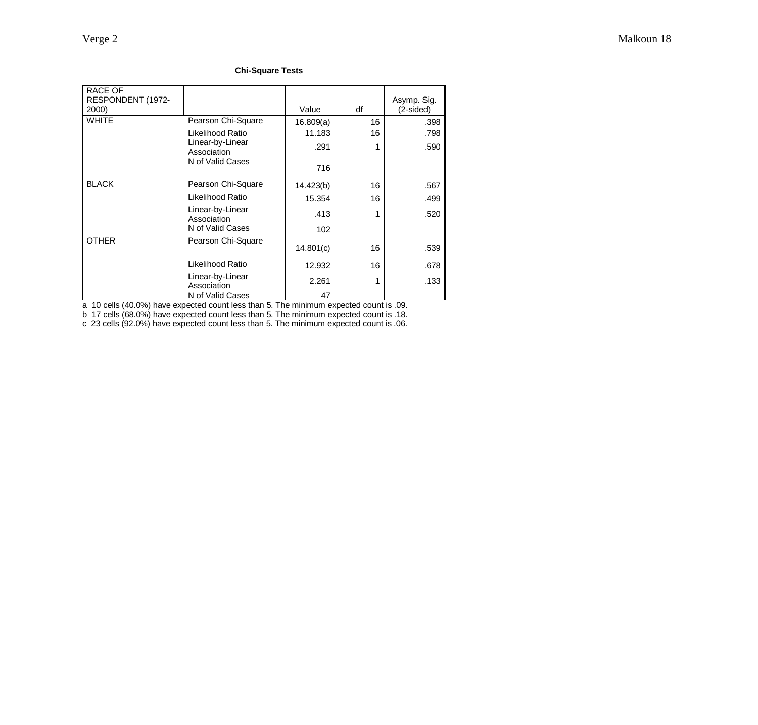#### **Chi-Square Tests**

| RACE OF<br>RESPONDENT (1972-<br>2000) |                                 | Value     | df | Asymp. Sig.<br>(2-sided) |
|---------------------------------------|---------------------------------|-----------|----|--------------------------|
| <b>WHITE</b>                          | Pearson Chi-Square              | 16.809(a) | 16 | .398                     |
|                                       | Likelihood Ratio                | 11.183    | 16 | .798                     |
|                                       | Linear-by-Linear<br>Association | .291      |    | .590                     |
|                                       | N of Valid Cases                | 716       |    |                          |
| <b>BLACK</b>                          | Pearson Chi-Square              | 14.423(b) | 16 | .567                     |
|                                       | Likelihood Ratio                | 15.354    | 16 | .499                     |
|                                       | Linear-by-Linear<br>Association | .413      |    | .520                     |
|                                       | N of Valid Cases                | 102       |    |                          |
| <b>OTHER</b>                          | Pearson Chi-Square              | 14.801(c) | 16 | .539                     |
|                                       | Likelihood Ratio                | 12.932    | 16 | .678                     |
|                                       | Linear-by-Linear<br>Association | 2.261     |    | .133                     |
|                                       | N of Valid Cases                | 47        |    |                          |

a 10 cells (40.0%) have expected count less than 5. The minimum expected count is .09.

b 17 cells (68.0%) have expected count less than 5. The minimum expected count is .18.

c 23 cells (92.0%) have expected count less than 5. The minimum expected count is .06.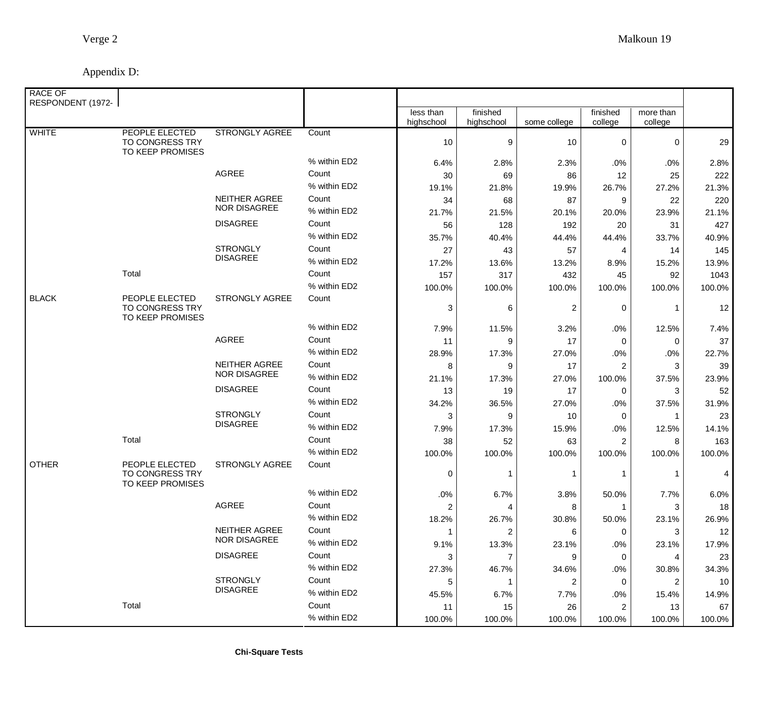| <b>RACE OF</b><br>RESPONDENT (1972- |                                                       |                       |              |                         |                         |              |                         |                      |        |
|-------------------------------------|-------------------------------------------------------|-----------------------|--------------|-------------------------|-------------------------|--------------|-------------------------|----------------------|--------|
|                                     |                                                       |                       |              | less than<br>highschool | finished<br>highschool  | some college | finished<br>college     | more than<br>college |        |
| <b>WHITE</b>                        | PEOPLE ELECTED<br>TO CONGRESS TRY<br>TO KEEP PROMISES | <b>STRONGLY AGREE</b> | Count        | 10                      | $\boldsymbol{9}$        | 10           | 0                       | 0                    | 29     |
|                                     |                                                       |                       | % within ED2 | 6.4%                    | 2.8%                    | 2.3%         | .0%                     | .0%                  | 2.8%   |
|                                     |                                                       | AGREE                 | Count        | 30                      | 69                      | 86           | 12                      | 25                   | 222    |
|                                     |                                                       |                       | % within ED2 | 19.1%                   | 21.8%                   | 19.9%        | 26.7%                   | 27.2%                | 21.3%  |
|                                     |                                                       | NEITHER AGREE         | Count        | 34                      | 68                      | 87           | 9                       | 22                   | 220    |
|                                     |                                                       | <b>NOR DISAGREE</b>   | % within ED2 | 21.7%                   | 21.5%                   | 20.1%        | 20.0%                   | 23.9%                | 21.1%  |
|                                     |                                                       | <b>DISAGREE</b>       | Count        | 56                      | 128                     | 192          | 20                      | 31                   | 427    |
|                                     |                                                       |                       | % within ED2 | 35.7%                   | 40.4%                   | 44.4%        | 44.4%                   | 33.7%                | 40.9%  |
|                                     |                                                       | <b>STRONGLY</b>       | Count        | 27                      | 43                      | 57           | 4                       | 14                   | 145    |
|                                     |                                                       | <b>DISAGREE</b>       | % within ED2 | 17.2%                   | 13.6%                   | 13.2%        | 8.9%                    | 15.2%                | 13.9%  |
|                                     | Total                                                 |                       | Count        | 157                     | 317                     | 432          | 45                      | 92                   | 1043   |
|                                     |                                                       |                       | % within ED2 | 100.0%                  | 100.0%                  | 100.0%       | 100.0%                  | 100.0%               | 100.0% |
| <b>BLACK</b>                        | PEOPLE ELECTED<br>TO CONGRESS TRY<br>TO KEEP PROMISES | STRONGLY AGREE        | Count        | 3                       | 6                       | 2            | 0                       |                      | 12     |
|                                     |                                                       |                       | % within ED2 | 7.9%                    | 11.5%                   | 3.2%         | .0%                     | 12.5%                | 7.4%   |
|                                     |                                                       | AGREE                 | Count        | 11                      | 9                       | 17           | 0                       | 0                    | 37     |
|                                     |                                                       |                       | % within ED2 | 28.9%                   | 17.3%                   | 27.0%        | .0%                     | .0%                  | 22.7%  |
|                                     |                                                       | NEITHER AGREE         | Count        | 8                       | 9                       | 17           | $\overline{c}$          | 3                    | 39     |
|                                     |                                                       | <b>NOR DISAGREE</b>   | % within ED2 | 21.1%                   | 17.3%                   | 27.0%        | 100.0%                  | 37.5%                | 23.9%  |
|                                     |                                                       | <b>DISAGREE</b>       | Count        | 13                      | 19                      | 17           | 0                       | 3                    | 52     |
|                                     |                                                       |                       | % within ED2 | 34.2%                   | 36.5%                   | 27.0%        | .0%                     | 37.5%                | 31.9%  |
|                                     |                                                       | <b>STRONGLY</b>       | Count        | 3                       | 9                       | 10           | 0                       | -1                   | 23     |
|                                     |                                                       | <b>DISAGREE</b>       | % within ED2 | 7.9%                    | 17.3%                   | 15.9%        | .0%                     | 12.5%                | 14.1%  |
|                                     | Total                                                 |                       | Count        | 38                      | 52                      | 63           | $\overline{2}$          | 8                    | 163    |
|                                     |                                                       |                       | % within ED2 | 100.0%                  | 100.0%                  | 100.0%       | 100.0%                  | 100.0%               | 100.0% |
| <b>OTHER</b>                        | PEOPLE ELECTED<br>TO CONGRESS TRY<br>TO KEEP PROMISES | STRONGLY AGREE        | Count        | 0                       |                         | -1           | 1                       |                      | 4      |
|                                     |                                                       |                       | % within ED2 | .0%                     | 6.7%                    | 3.8%         | 50.0%                   | 7.7%                 | 6.0%   |
|                                     |                                                       | AGREE                 | Count        | $\overline{\mathbf{c}}$ | 4                       | 8            | 1                       | 3                    | 18     |
|                                     |                                                       |                       | % within ED2 | 18.2%                   | 26.7%                   | 30.8%        | 50.0%                   | 23.1%                | 26.9%  |
|                                     |                                                       | NEITHER AGREE         | Count        | 1                       | $\overline{\mathbf{c}}$ | 6            | 0                       | 3                    | 12     |
|                                     |                                                       | NOR DISAGREE          | % within ED2 | 9.1%                    | 13.3%                   | 23.1%        | .0%                     | 23.1%                | 17.9%  |
|                                     |                                                       | <b>DISAGREE</b>       | Count        | 3                       | $\overline{7}$          | 9            | 0                       | 4                    | 23     |
|                                     |                                                       |                       | % within ED2 | 27.3%                   | 46.7%                   | 34.6%        | .0%                     | 30.8%                | 34.3%  |
|                                     |                                                       | <b>STRONGLY</b>       | Count        | 5                       |                         | 2            | 0                       | $\overline{2}$       | 10     |
|                                     |                                                       | <b>DISAGREE</b>       | % within ED2 | 45.5%                   | 6.7%                    | 7.7%         | .0%                     | 15.4%                | 14.9%  |
|                                     | Total                                                 |                       | Count        | 11                      | 15                      | 26           | $\overline{\mathbf{c}}$ | 13                   | 67     |
|                                     |                                                       |                       | % within ED2 | 100.0%                  | 100.0%                  | 100.0%       | 100.0%                  | 100.0%               | 100.0% |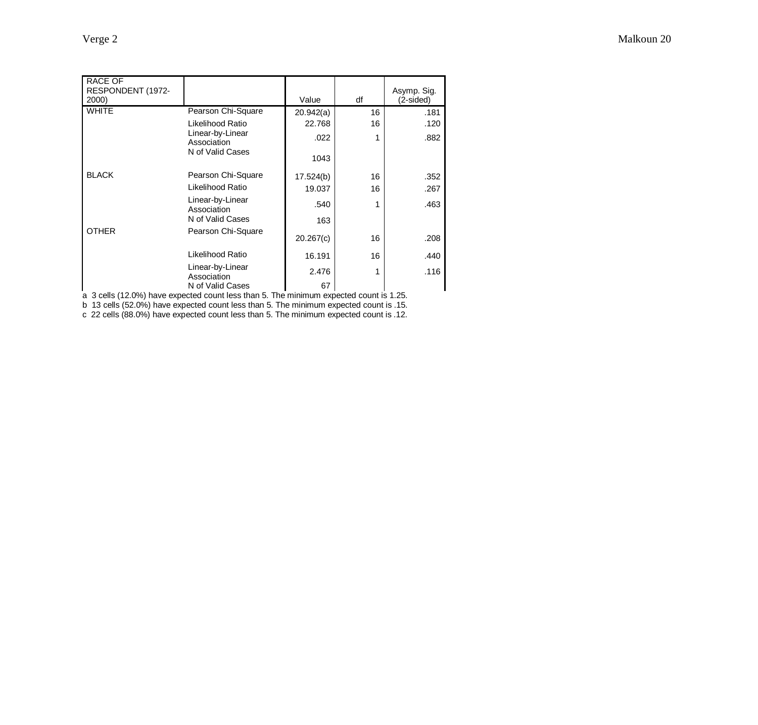| <b>RACE OF</b><br>RESPONDENT (1972-<br>2000) |                                 | Value     | df | Asymp. Sig.<br>(2-sided) |
|----------------------------------------------|---------------------------------|-----------|----|--------------------------|
| <b>WHITE</b>                                 | Pearson Chi-Square              | 20.942(a) | 16 | .181                     |
|                                              | Likelihood Ratio                | 22.768    | 16 | .120                     |
|                                              | Linear-by-Linear<br>Association | .022      | 1  | .882                     |
|                                              | N of Valid Cases                | 1043      |    |                          |
| <b>BLACK</b>                                 | Pearson Chi-Square              | 17.524(b) | 16 | .352                     |
|                                              | Likelihood Ratio                | 19.037    | 16 | .267                     |
|                                              | Linear-by-Linear<br>Association | .540      | 1  | .463                     |
|                                              | N of Valid Cases                | 163       |    |                          |
| <b>OTHER</b>                                 | Pearson Chi-Square              | 20.267(c) | 16 | .208                     |
|                                              | Likelihood Ratio                | 16.191    | 16 | .440                     |
|                                              | Linear-by-Linear<br>Association | 2.476     | 1  | .116                     |
|                                              | N of Valid Cases                | 67        |    |                          |

a 3 cells (12.0%) have expected count less than 5. The minimum expected count is 1.25.

b 13 cells (52.0%) have expected count less than 5. The minimum expected count is .15.

c 22 cells (88.0%) have expected count less than 5. The minimum expected count is .12.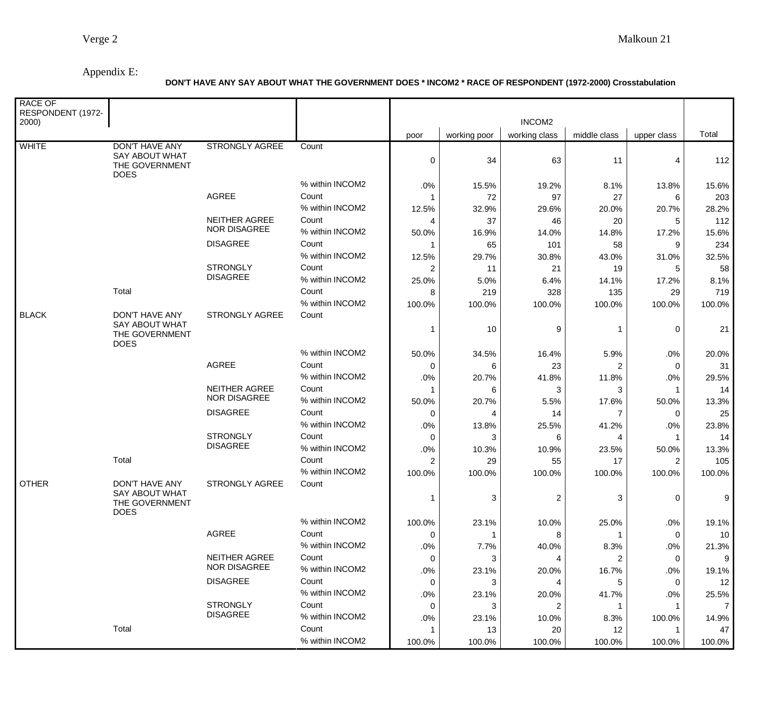# Appendix E:

## **DON'T HAVE ANY SAY ABOUT WHAT THE GOVERNMENT DOES \* INCOM2 \* RACE OF RESPONDENT (1972-2000) Crosstabulation**

| <b>RACE OF</b><br>RESPONDENT (1972-<br>2000) |                                                                                 |                                                       |                          | INCOM2         |              |                         |                |                |                |
|----------------------------------------------|---------------------------------------------------------------------------------|-------------------------------------------------------|--------------------------|----------------|--------------|-------------------------|----------------|----------------|----------------|
|                                              |                                                                                 |                                                       |                          | poor           | working poor | working class           | middle class   | upper class    | Total          |
| <b>WHITE</b>                                 | <b>DON'T HAVE ANY</b><br><b>SAY ABOUT WHAT</b><br>THE GOVERNMENT<br><b>DOES</b> | <b>STRONGLY AGREE</b>                                 | Count                    | 0              | 34           | 63                      | 11             | 4              | 112            |
|                                              |                                                                                 |                                                       | % within INCOM2          | .0%            | 15.5%        | 19.2%                   | 8.1%           | 13.8%          | 15.6%          |
|                                              |                                                                                 | <b>AGREE</b>                                          | Count                    | -1             | 72           | 97                      | 27             | 6              | 203            |
|                                              |                                                                                 |                                                       | % within INCOM2          | 12.5%          | 32.9%        | 29.6%                   | 20.0%          | 20.7%          | 28.2%          |
|                                              |                                                                                 | NEITHER AGREE<br><b>NOR DISAGREE</b>                  | Count<br>% within INCOM2 | 4<br>50.0%     | 37<br>16.9%  | 46<br>14.0%             | 20<br>14.8%    | 5<br>17.2%     | 112<br>15.6%   |
|                                              |                                                                                 | <b>DISAGREE</b>                                       | Count                    |                | 65           | 101                     | 58             | 9              | 234            |
|                                              |                                                                                 |                                                       | % within INCOM2          | 12.5%          | 29.7%        | 30.8%                   | 43.0%          | 31.0%          | 32.5%          |
|                                              |                                                                                 | <b>STRONGLY</b>                                       | Count                    | 2              | 11           | 21                      | 19             | 5              | 58             |
|                                              |                                                                                 | <b>DISAGREE</b>                                       | % within INCOM2          | 25.0%          | 5.0%         | 6.4%                    | 14.1%          | 17.2%          | 8.1%           |
|                                              | Total                                                                           |                                                       | Count                    | 8              | 219          | 328                     | 135            | 29             | 719            |
|                                              |                                                                                 |                                                       | % within INCOM2          | 100.0%         | 100.0%       | 100.0%                  | 100.0%         | 100.0%         | 100.0%         |
| <b>BLACK</b>                                 | DON'T HAVE ANY                                                                  | STRONGLY AGREE                                        | Count                    |                |              |                         |                |                |                |
|                                              | <b>SAY ABOUT WHAT</b><br>THE GOVERNMENT<br><b>DOES</b>                          |                                                       |                          | 1              | 10           | 9                       |                | $\mathbf 0$    | 21             |
|                                              |                                                                                 |                                                       | % within INCOM2          | 50.0%          | 34.5%        | 16.4%                   | 5.9%           | .0%            | 20.0%          |
|                                              |                                                                                 | <b>AGREE</b>                                          | Count                    | 0              | 6            | 23                      | 2              | $\Omega$       | 31             |
|                                              |                                                                                 |                                                       | % within INCOM2          | .0%            | 20.7%        | 41.8%                   | 11.8%          | .0%            | 29.5%          |
|                                              |                                                                                 | <b>NEITHER AGREE</b>                                  | Count                    |                | 6            | 3                       | 3              |                | 14             |
|                                              |                                                                                 | <b>NOR DISAGREE</b>                                   | % within INCOM2          | 50.0%          | 20.7%        | 5.5%                    | 17.6%          | 50.0%          | 13.3%          |
|                                              |                                                                                 | <b>DISAGREE</b>                                       | Count                    | 0              | 4            | 14                      | $\overline{7}$ | 0              | 25             |
|                                              |                                                                                 |                                                       | % within INCOM2          | .0%            | 13.8%        | 25.5%                   | 41.2%          | .0%            | 23.8%          |
|                                              |                                                                                 | <b>STRONGLY</b>                                       | Count                    | 0              | 3            | 6                       | 4              |                | 14             |
|                                              |                                                                                 | <b>DISAGREE</b>                                       | % within INCOM2          | .0%            | 10.3%        | 10.9%                   | 23.5%          | 50.0%          | 13.3%          |
|                                              | Total                                                                           |                                                       | Count                    | $\overline{2}$ | 29           | 55                      | 17             | $\overline{2}$ | 105            |
|                                              |                                                                                 |                                                       | % within INCOM2          | 100.0%         | 100.0%       | 100.0%                  | 100.0%         | 100.0%         | 100.0%         |
| <b>OTHER</b>                                 | DON'T HAVE ANY<br><b>SAY ABOUT WHAT</b>                                         | STRONGLY AGREE                                        | Count                    |                |              |                         |                |                |                |
|                                              | THE GOVERNMENT<br><b>DOES</b>                                                   |                                                       |                          |                | 3            | $\overline{\mathbf{c}}$ | 3              | 0              | 9              |
|                                              |                                                                                 |                                                       | % within INCOM2          | 100.0%         | 23.1%        | 10.0%                   | 25.0%          | .0%            | 19.1%          |
|                                              |                                                                                 | AGREE                                                 | Count                    | 0              | -1           | 8                       | 1              | 0              | 10             |
|                                              |                                                                                 |                                                       | % within INCOM2          | .0%            | 7.7%         | 40.0%                   | 8.3%           | .0%            | 21.3%          |
|                                              |                                                                                 | <b>NEITHER AGREE</b>                                  | Count                    | 0              | 3            | 4                       | 2              | 0              | 9              |
|                                              |                                                                                 | <b>NOR DISAGREE</b>                                   | % within INCOM2          | .0%            | 23.1%        | 20.0%                   | 16.7%          | .0%            | 19.1%          |
|                                              |                                                                                 | <b>DISAGREE</b><br><b>STRONGLY</b><br><b>DISAGREE</b> | Count                    | 0              | 3            | 4                       | 5              | 0              | 12             |
|                                              |                                                                                 |                                                       | % within INCOM2          | .0%            | 23.1%        | 20.0%                   | 41.7%          | .0%            | 25.5%          |
|                                              |                                                                                 |                                                       | Count                    | 0              | 3            | 2                       | 1              | -1             | $\overline{7}$ |
|                                              |                                                                                 |                                                       | % within INCOM2          | .0%            | 23.1%        | 10.0%                   | 8.3%           | 100.0%         | 14.9%          |
|                                              | Total                                                                           |                                                       | Count                    |                | 13           | 20                      | 12             |                | 47             |
|                                              |                                                                                 |                                                       | % within INCOM2          | 100.0%         | 100.0%       | 100.0%                  | 100.0%         | 100.0%         | 100.0%         |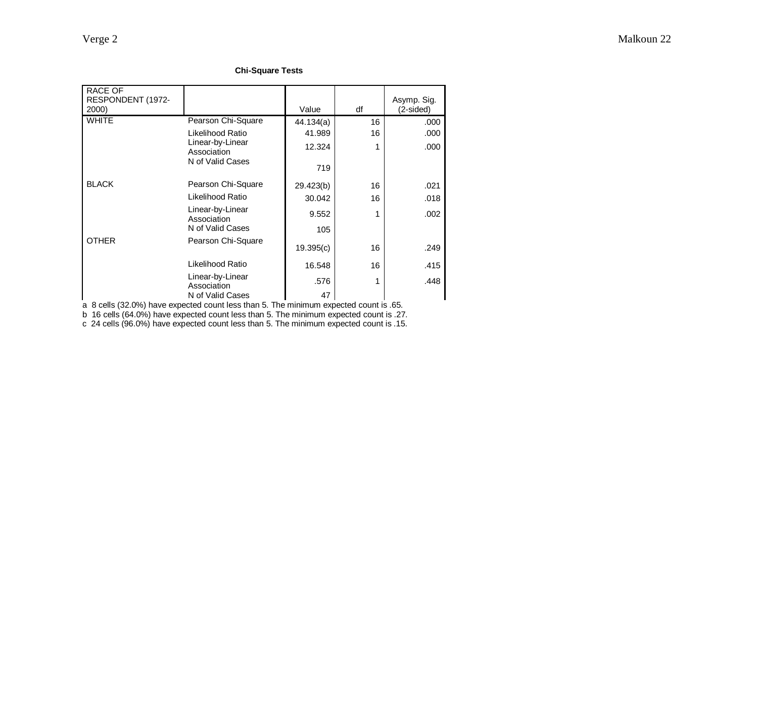#### **Chi-Square Tests**

| <b>RACE OF</b><br>RESPONDENT (1972-<br>2000) |                                 | Value     | df | Asymp. Sig.<br>(2-sided) |
|----------------------------------------------|---------------------------------|-----------|----|--------------------------|
| <b>WHITE</b>                                 | Pearson Chi-Square              | 44.134(a) | 16 | .000                     |
|                                              | Likelihood Ratio                | 41.989    | 16 | .000                     |
|                                              | Linear-by-Linear<br>Association | 12.324    | 1  | .000                     |
|                                              | N of Valid Cases                | 719       |    |                          |
| <b>BLACK</b>                                 | Pearson Chi-Square              | 29.423(b) | 16 | .021                     |
|                                              | Likelihood Ratio                | 30.042    | 16 | .018                     |
|                                              | Linear-by-Linear<br>Association | 9.552     | 1  | .002                     |
|                                              | N of Valid Cases                | 105       |    |                          |
| <b>OTHER</b>                                 | Pearson Chi-Square              | 19.395(c) | 16 | .249                     |
|                                              | Likelihood Ratio                | 16.548    | 16 | .415                     |
|                                              | Linear-by-Linear<br>Association | .576      | 1  | .448                     |
|                                              | N of Valid Cases                | 47        |    |                          |

a 8 cells (32.0%) have expected count less than 5. The minimum expected count is .65.

b 16 cells (64.0%) have expected count less than 5. The minimum expected count is .27.

c 24 cells (96.0%) have expected count less than 5. The minimum expected count is .15.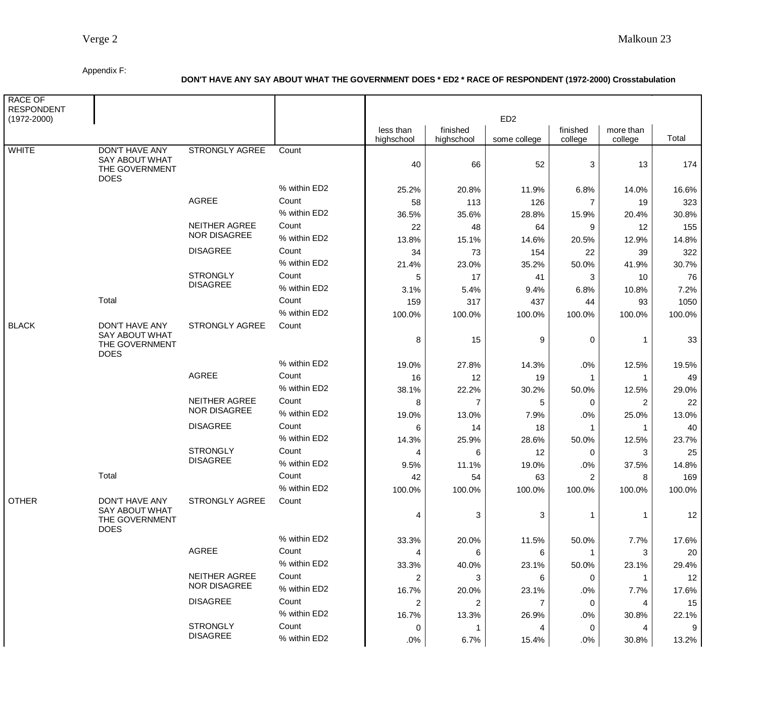#### Appendix F:

## **DON'T HAVE ANY SAY ABOUT WHAT THE GOVERNMENT DOES \* ED2 \* RACE OF RESPONDENT (1972-2000) Crosstabulation**

| <b>RACE OF</b><br><b>RESPONDENT</b><br>$(1972 - 2000)$ |                                                                                 | ED <sub>2</sub>                      |              |                         |                        |              |                     |                      |        |
|--------------------------------------------------------|---------------------------------------------------------------------------------|--------------------------------------|--------------|-------------------------|------------------------|--------------|---------------------|----------------------|--------|
|                                                        |                                                                                 |                                      |              | less than<br>highschool | finished<br>highschool | some college | finished<br>college | more than<br>college | Total  |
| <b>WHITE</b>                                           | <b>DON'T HAVE ANY</b><br><b>SAY ABOUT WHAT</b><br>THE GOVERNMENT<br><b>DOES</b> | <b>STRONGLY AGREE</b>                | Count        | 40                      | 66                     | 52           | 3                   | 13                   | 174    |
|                                                        |                                                                                 |                                      | % within ED2 | 25.2%                   | 20.8%                  | 11.9%        | 6.8%                | 14.0%                | 16.6%  |
|                                                        |                                                                                 | AGREE                                | Count        | 58                      | 113                    | 126          | 7                   | 19                   | 323    |
|                                                        |                                                                                 |                                      | % within ED2 | 36.5%                   | 35.6%                  | 28.8%        | 15.9%               | 20.4%                | 30.8%  |
|                                                        |                                                                                 | NEITHER AGREE<br><b>NOR DISAGREE</b> | Count        | 22                      | 48                     | 64           | 9                   | 12                   | 155    |
|                                                        |                                                                                 |                                      | % within ED2 | 13.8%                   | 15.1%                  | 14.6%        | 20.5%               | 12.9%                | 14.8%  |
|                                                        |                                                                                 | <b>DISAGREE</b>                      | Count        | 34                      | 73                     | 154          | 22                  | 39                   | 322    |
|                                                        |                                                                                 |                                      | % within ED2 | 21.4%                   | 23.0%                  | 35.2%        | 50.0%               | 41.9%                | 30.7%  |
|                                                        |                                                                                 | <b>STRONGLY</b><br><b>DISAGREE</b>   | Count        | 5                       | 17                     | 41           | 3                   | 10                   | 76     |
|                                                        |                                                                                 |                                      | % within ED2 | 3.1%                    | 5.4%                   | 9.4%         | 6.8%                | 10.8%                | 7.2%   |
|                                                        | Total                                                                           |                                      | Count        | 159                     | 317                    | 437          | 44                  | 93                   | 1050   |
|                                                        |                                                                                 |                                      | % within ED2 | 100.0%                  | 100.0%                 | 100.0%       | 100.0%              | 100.0%               | 100.0% |
| <b>BLACK</b>                                           | DON'T HAVE ANY<br><b>SAY ABOUT WHAT</b><br>THE GOVERNMENT<br><b>DOES</b>        | STRONGLY AGREE                       | Count        | 8                       | 15                     | 9            | 0                   |                      | 33     |
|                                                        |                                                                                 |                                      | % within ED2 | 19.0%                   | 27.8%                  | 14.3%        | .0%                 | 12.5%                | 19.5%  |
|                                                        |                                                                                 | <b>AGREE</b>                         | Count        | 16                      | 12                     | 19           | 1                   | -1                   | 49     |
|                                                        |                                                                                 |                                      | % within ED2 | 38.1%                   | 22.2%                  | 30.2%        | 50.0%               | 12.5%                | 29.0%  |
|                                                        |                                                                                 | NEITHER AGREE                        | Count        | 8                       | 7                      | 5            | 0                   | $\overline{2}$       | 22     |
|                                                        |                                                                                 | <b>NOR DISAGREE</b>                  | % within ED2 | 19.0%                   | 13.0%                  | 7.9%         | .0%                 | 25.0%                | 13.0%  |
|                                                        |                                                                                 | <b>DISAGREE</b>                      | Count        | 6                       | 14                     | 18           | 1                   |                      | 40     |
|                                                        |                                                                                 |                                      | % within ED2 | 14.3%                   | 25.9%                  | 28.6%        | 50.0%               | 12.5%                | 23.7%  |
|                                                        |                                                                                 | <b>STRONGLY</b>                      | Count        | 4                       | 6                      | 12           | 0                   | 3                    | 25     |
|                                                        |                                                                                 | <b>DISAGREE</b>                      | % within ED2 | 9.5%                    | 11.1%                  | 19.0%        | .0%                 | 37.5%                | 14.8%  |
|                                                        | Total                                                                           |                                      | Count        | 42                      | 54                     | 63           | 2                   | 8                    | 169    |
|                                                        |                                                                                 |                                      | % within ED2 | 100.0%                  | 100.0%                 | 100.0%       | 100.0%              | 100.0%               | 100.0% |
| OTHER                                                  | <b>DON'T HAVE ANY</b><br>SAY ABOUT WHAT<br>THE GOVERNMENT<br><b>DOES</b>        | <b>STRONGLY AGREE</b>                | Count        |                         |                        |              |                     |                      |        |
|                                                        |                                                                                 |                                      |              | 4                       | 3                      | 3            | $\mathbf{1}$        | 1                    | 12     |
|                                                        |                                                                                 |                                      | % within ED2 | 33.3%                   | 20.0%                  | 11.5%        | 50.0%               | 7.7%                 | 17.6%  |
|                                                        |                                                                                 | AGREE                                | Count        | 4                       | 6                      | 6            | $\mathbf{1}$        | 3                    | 20     |
|                                                        |                                                                                 |                                      | % within ED2 | 33.3%                   | 40.0%                  | 23.1%        | 50.0%               | 23.1%                | 29.4%  |
|                                                        |                                                                                 | NEITHER AGREE                        | Count        | 2                       | 3                      | 6            | 0                   |                      | 12     |
|                                                        |                                                                                 | <b>NOR DISAGREE</b>                  | % within ED2 | 16.7%                   | 20.0%                  | 23.1%        | .0%                 | 7.7%                 | 17.6%  |
|                                                        |                                                                                 | <b>DISAGREE</b>                      | Count        | 2                       | 2                      | 7            | 0                   | 4                    | 15     |
|                                                        |                                                                                 |                                      | % within ED2 | 16.7%                   | 13.3%                  | 26.9%        | .0%                 | 30.8%                | 22.1%  |
|                                                        |                                                                                 | <b>STRONGLY</b>                      | Count        | 0                       | -1                     | 4            | 0                   | 4                    | 9      |
|                                                        |                                                                                 | <b>DISAGREE</b>                      | % within ED2 | .0%                     | 6.7%                   | 15.4%        | .0%                 | 30.8%                | 13.2%  |